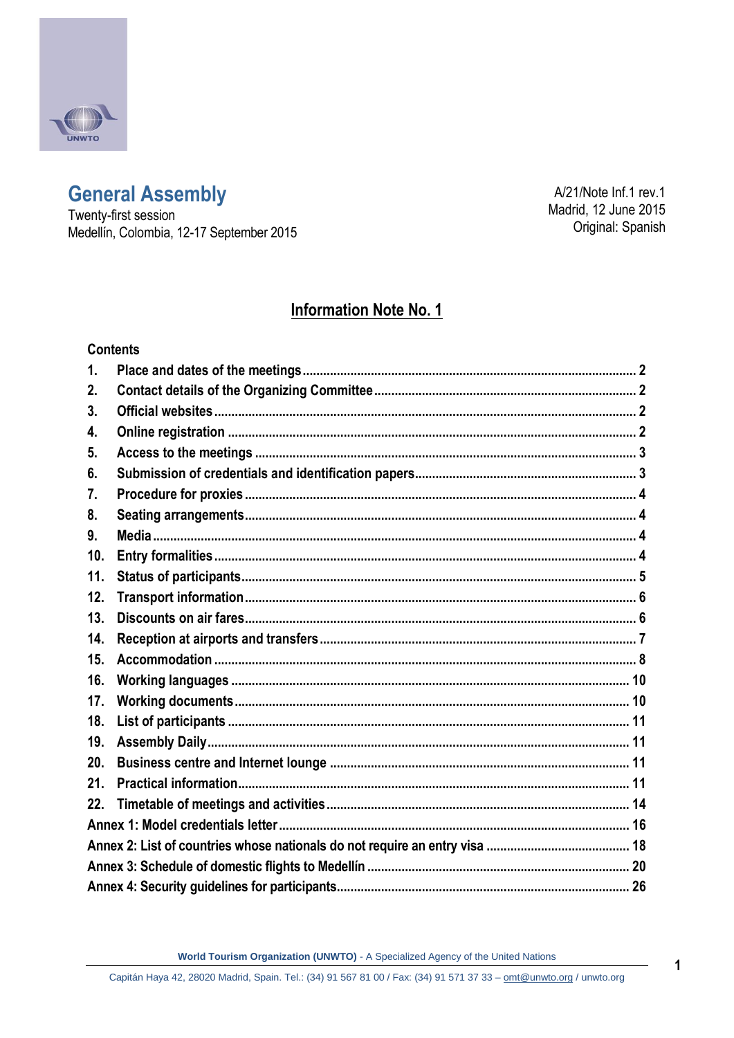

# **General Assembly**

Twenty-first session Medellín, Colombia, 12-17 September 2015

A/21/Note Inf.1 rev.1 Madrid, 12 June 2015 Original: Spanish

## **Information Note No. 1**

## **Contents**

| 1.  |  |  |  |  |  |  |
|-----|--|--|--|--|--|--|
| 2.  |  |  |  |  |  |  |
| 3.  |  |  |  |  |  |  |
| 4.  |  |  |  |  |  |  |
| 5.  |  |  |  |  |  |  |
| 6.  |  |  |  |  |  |  |
| 7.  |  |  |  |  |  |  |
| 8.  |  |  |  |  |  |  |
| 9.  |  |  |  |  |  |  |
| 10. |  |  |  |  |  |  |
| 11. |  |  |  |  |  |  |
| 12. |  |  |  |  |  |  |
| 13. |  |  |  |  |  |  |
| 14. |  |  |  |  |  |  |
| 15. |  |  |  |  |  |  |
| 16. |  |  |  |  |  |  |
| 17. |  |  |  |  |  |  |
| 18. |  |  |  |  |  |  |
| 19. |  |  |  |  |  |  |
| 20. |  |  |  |  |  |  |
| 21. |  |  |  |  |  |  |
| 22. |  |  |  |  |  |  |
|     |  |  |  |  |  |  |
|     |  |  |  |  |  |  |
|     |  |  |  |  |  |  |
|     |  |  |  |  |  |  |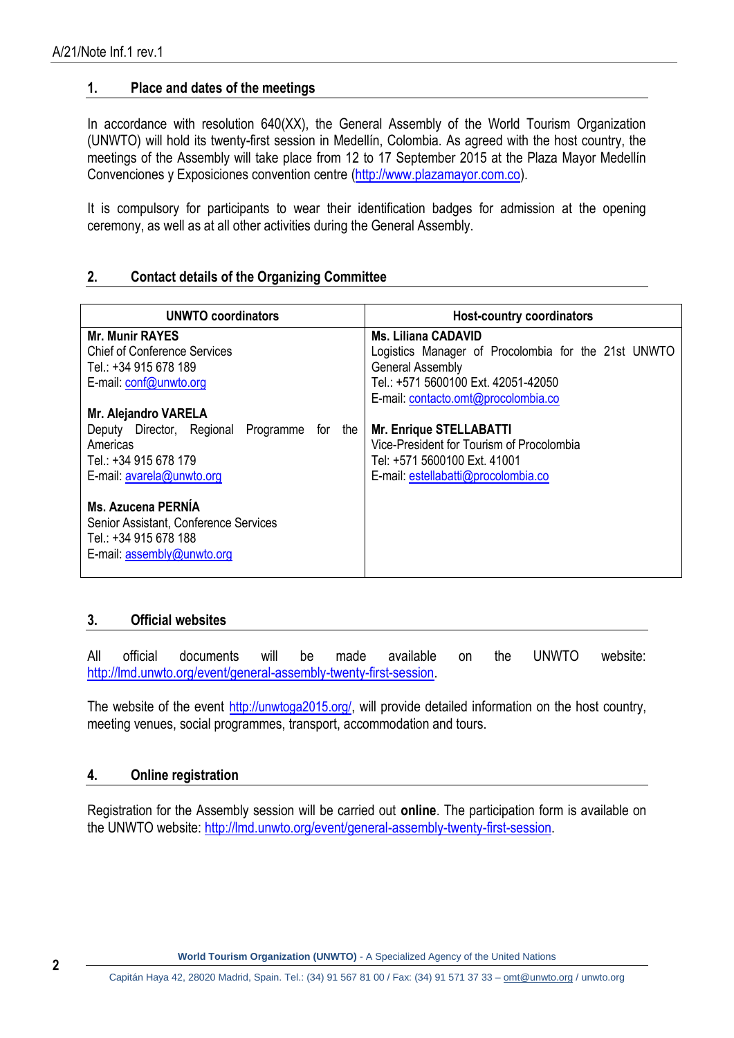## <span id="page-1-0"></span>**1. Place and dates of the meetings**

In accordance with resolution 640(XX), the General Assembly of the World Tourism Organization (UNWTO) will hold its twenty-first session in Medellín, Colombia. As agreed with the host country, the meetings of the Assembly will take place from 12 to 17 September 2015 at the Plaza Mayor Medellín Convenciones y Exposiciones convention centre [\(http://www.plazamayor.com.co\)](http://www.plazamayor.com.co/).

It is compulsory for participants to wear their identification badges for admission at the opening ceremony, as well as at all other activities during the General Assembly.

## <span id="page-1-1"></span>**2. Contact details of the Organizing Committee**

| UNWTO coordinators                                | <b>Host-country coordinators</b>                    |
|---------------------------------------------------|-----------------------------------------------------|
| <b>Mr. Munir RAYES</b>                            | <b>Ms. Liliana CADAVID</b>                          |
| <b>Chief of Conference Services</b>               | Logistics Manager of Procolombia for the 21st UNWTO |
| Tel.: +34 915 678 189                             | <b>General Assembly</b>                             |
| E-mail: conf@unwto.org                            | Tel.: +571 5600100 Ext. 42051-42050                 |
|                                                   | E-mail: contacto.omt@procolombia.co                 |
| <b>Mr. Alejandro VARELA</b>                       |                                                     |
| Deputy Director, Regional Programme<br>for<br>the | <b>Mr. Enrique STELLABATTI</b>                      |
| Americas                                          | Vice-President for Tourism of Procolombia           |
| Tel.: +34 915 678 179                             | Tel: +571 5600100 Ext. 41001                        |
| E-mail: avarela@unwto.org                         | E-mail: estellabatti@procolombia.co                 |
|                                                   |                                                     |
| Ms. Azucena PERNÍA                                |                                                     |
| Senior Assistant, Conference Services             |                                                     |
| Tel.: +34 915 678 188                             |                                                     |
| E-mail: assembly@unwto.org                        |                                                     |
|                                                   |                                                     |

## <span id="page-1-2"></span>**3. Official websites**

All official documents will be made available on the UNWTO website: [http://lmd.unwto.org/event/general-assembly-twenty-first-session.](http://lmd.unwto.org/event/general-assembly-twenty-first-session)

The website of the event <http://unwtoga2015.org/>, will provide detailed information on the host country, meeting venues, social programmes, transport, accommodation and tours.

## <span id="page-1-3"></span>**4. Online registration**

Registration for the Assembly session will be carried out **online**. The participation form is available on the UNWTO website: [http://lmd.unwto.org/event/general-assembly-twenty-first-session.](http://lmd.unwto.org/event/general-assembly-twenty-first-session)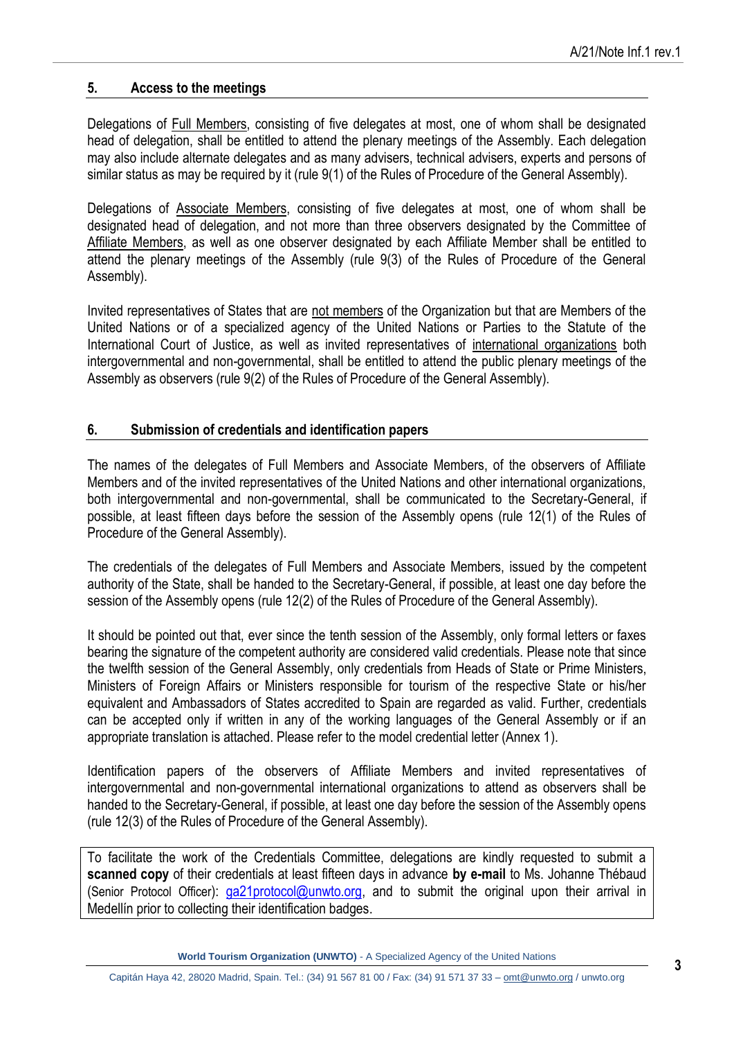## <span id="page-2-0"></span>**5. Access to the meetings**

Delegations of Full Members, consisting of five delegates at most, one of whom shall be designated head of delegation, shall be entitled to attend the plenary meetings of the Assembly. Each delegation may also include alternate delegates and as many advisers, technical advisers, experts and persons of similar status as may be required by it (rule 9(1) of the Rules of Procedure of the General Assembly).

Delegations of Associate Members, consisting of five delegates at most, one of whom shall be designated head of delegation, and not more than three observers designated by the Committee of Affiliate Members, as well as one observer designated by each Affiliate Member shall be entitled to attend the plenary meetings of the Assembly (rule 9(3) of the Rules of Procedure of the General Assembly).

Invited representatives of States that are not members of the Organization but that are Members of the United Nations or of a specialized agency of the United Nations or Parties to the Statute of the International Court of Justice, as well as invited representatives of international organizations both intergovernmental and non-governmental, shall be entitled to attend the public plenary meetings of the Assembly as observers (rule 9(2) of the Rules of Procedure of the General Assembly).

### <span id="page-2-1"></span>**6. Submission of credentials and identification papers**

The names of the delegates of Full Members and Associate Members, of the observers of Affiliate Members and of the invited representatives of the United Nations and other international organizations, both intergovernmental and non-governmental, shall be communicated to the Secretary-General, if possible, at least fifteen days before the session of the Assembly opens (rule 12(1) of the Rules of Procedure of the General Assembly).

The credentials of the delegates of Full Members and Associate Members, issued by the competent authority of the State, shall be handed to the Secretary-General, if possible, at least one day before the session of the Assembly opens (rule 12(2) of the Rules of Procedure of the General Assembly).

It should be pointed out that, ever since the tenth session of the Assembly, only formal letters or faxes bearing the signature of the competent authority are considered valid credentials. Please note that since the twelfth session of the General Assembly, only credentials from Heads of State or Prime Ministers, Ministers of Foreign Affairs or Ministers responsible for tourism of the respective State or his/her equivalent and Ambassadors of States accredited to Spain are regarded as valid. Further, credentials can be accepted only if written in any of the working languages of the General Assembly or if an appropriate translation is attached. Please refer to the model credential letter (Annex 1).

Identification papers of the observers of Affiliate Members and invited representatives of intergovernmental and non-governmental international organizations to attend as observers shall be handed to the Secretary-General, if possible, at least one day before the session of the Assembly opens (rule 12(3) of the Rules of Procedure of the General Assembly).

To facilitate the work of the Credentials Committee, delegations are kindly requested to submit a **scanned copy** of their credentials at least fifteen days in advance **by e-mail** to Ms. Johanne Thébaud (Senior Protocol Officer): [ga21protocol@unwto.org,](mailto:ga21protocol@unwto.org) and to submit the original upon their arrival in Medellín prior to collecting their identification badges.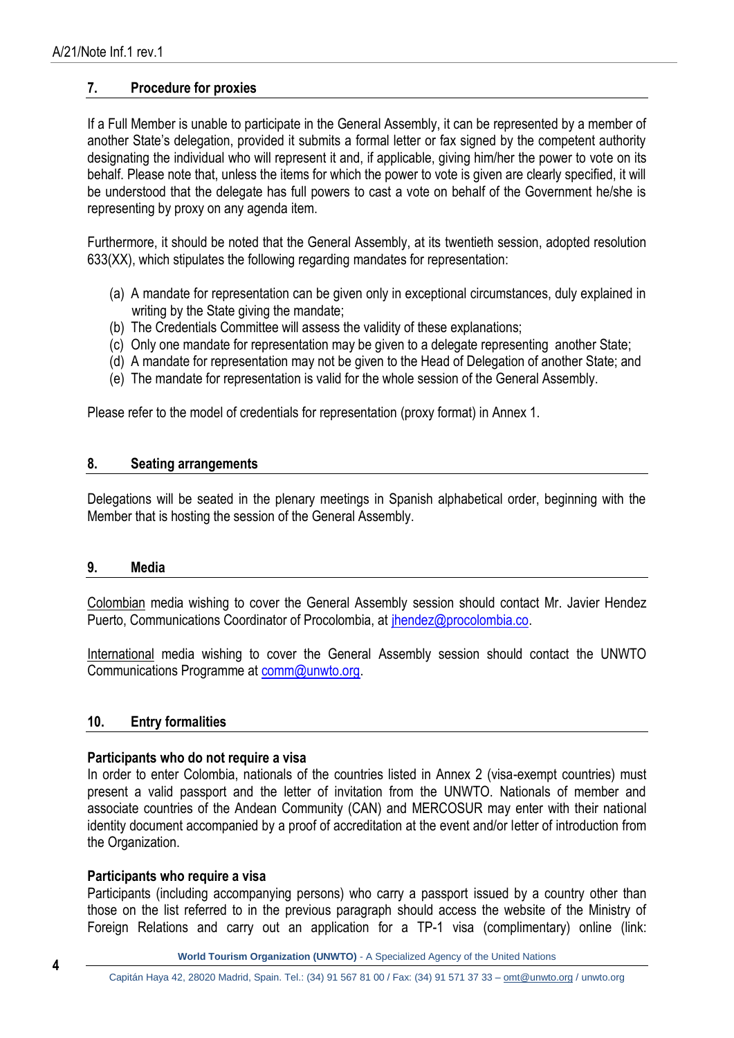## <span id="page-3-0"></span>**7. Procedure for proxies**

If a Full Member is unable to participate in the General Assembly, it can be represented by a member of another State's delegation, provided it submits a formal letter or fax signed by the competent authority designating the individual who will represent it and, if applicable, giving him/her the power to vote on its behalf. Please note that, unless the items for which the power to vote is given are clearly specified, it will be understood that the delegate has full powers to cast a vote on behalf of the Government he/she is representing by proxy on any agenda item.

Furthermore, it should be noted that the General Assembly, at its twentieth session, adopted resolution 633(XX), which stipulates the following regarding mandates for representation:

- (a) A mandate for representation can be given only in exceptional circumstances, duly explained in writing by the State giving the mandate;
- (b) The Credentials Committee will assess the validity of these explanations;
- (c) Only one mandate for representation may be given to a delegate representing another State;
- (d) A mandate for representation may not be given to the Head of Delegation of another State; and
- (e) The mandate for representation is valid for the whole session of the General Assembly.

Please refer to the model of credentials for representation (proxy format) in Annex 1.

#### <span id="page-3-1"></span>**8. Seating arrangements**

Delegations will be seated in the plenary meetings in Spanish alphabetical order, beginning with the Member that is hosting the session of the General Assembly.

#### <span id="page-3-2"></span>**9. Media**

Colombian media wishing to cover the General Assembly session should contact Mr. Javier Hendez Puerto, Communications Coordinator of Procolombia, at [jhendez@procolombia.co.](mailto:jhendez@procolombia.co)

International media wishing to cover the General Assembly session should contact the UNWTO Communications Programme at [comm@unwto.org.](mailto:comm@unwto.org)

#### <span id="page-3-3"></span>**10. Entry formalities**

#### **Participants who do not require a visa**

In order to enter Colombia, nationals of the countries listed in Annex 2 (visa-exempt countries) must present a valid passport and the letter of invitation from the UNWTO. Nationals of member and associate countries of the Andean Community (CAN) and MERCOSUR may enter with their national identity document accompanied by a proof of accreditation at the event and/or letter of introduction from the Organization.

#### **Participants who require a visa**

Participants (including accompanying persons) who carry a passport issued by a country other than those on the list referred to in the previous paragraph should access the website of the Ministry of Foreign Relations and carry out an application for a TP-1 visa (complimentary) online (link: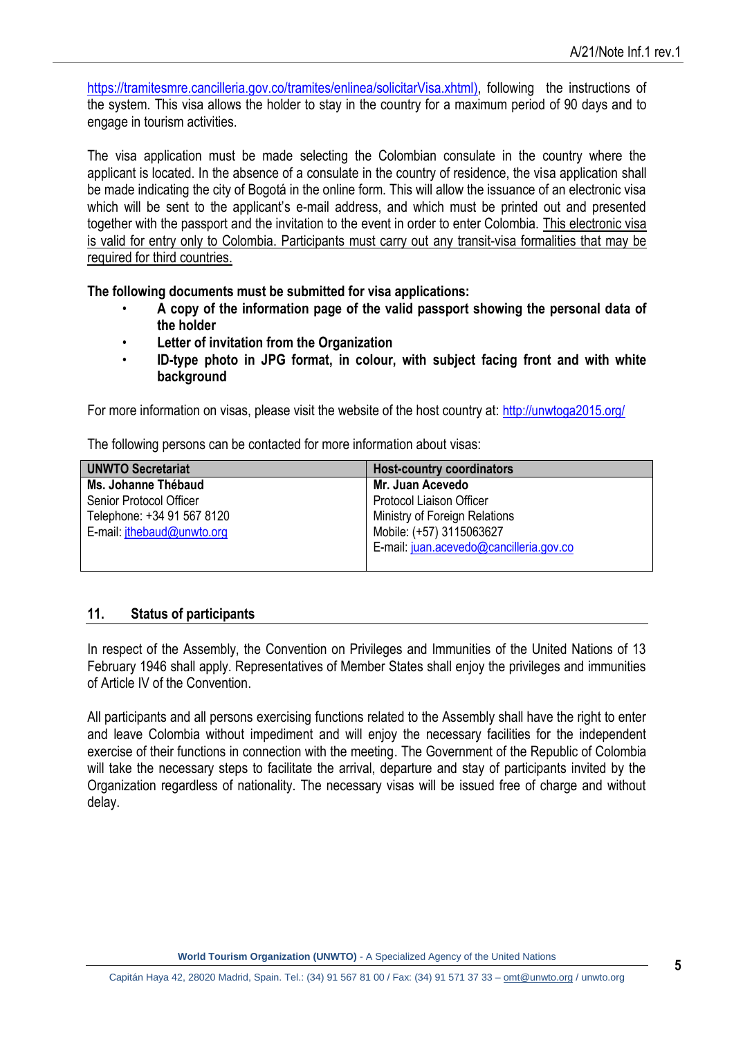[https://tramitesmre.cancilleria.gov.co/tramites/enlinea/solicitarVisa.xhtml\)](https://tramitesmre.cancilleria.gov.co/tramites/enlinea/solicitarVisa.xhtml), following the instructions of the system. This visa allows the holder to stay in the country for a maximum period of 90 days and to engage in tourism activities.

The visa application must be made selecting the Colombian consulate in the country where the applicant is located. In the absence of a consulate in the country of residence, the visa application shall be made indicating the city of Bogotá in the online form. This will allow the issuance of an electronic visa which will be sent to the applicant's e-mail address, and which must be printed out and presented together with the passport and the invitation to the event in order to enter Colombia. This electronic visa is valid for entry only to Colombia. Participants must carry out any transit-visa formalities that may be required for third countries.

**The following documents must be submitted for visa applications:** 

- **A copy of the information page of the valid passport showing the personal data of the holder**
- **Letter of invitation from the Organization**
- **ID-type photo in JPG format, in colour, with subject facing front and with white background**

For more information on visas, please visit the website of the host country at: <http://unwtoga2015.org/>

The following persons can be contacted for more information about visas:

| <b>UNWTO Secretariat</b>   | <b>Host-country coordinators</b>        |
|----------------------------|-----------------------------------------|
| Ms. Johanne Thébaud        | Mr. Juan Acevedo                        |
| Senior Protocol Officer    | <b>Protocol Liaison Officer</b>         |
| Telephone: +34 91 567 8120 | Ministry of Foreign Relations           |
| E-mail: jthebaud@unwto.org | Mobile: (+57) 3115063627                |
|                            | E-mail: juan.acevedo@cancilleria.gov.co |
|                            |                                         |

## <span id="page-4-0"></span>**11. Status of participants**

In respect of the Assembly, the Convention on Privileges and Immunities of the United Nations of 13 February 1946 shall apply. Representatives of Member States shall enjoy the privileges and immunities of Article IV of the Convention.

All participants and all persons exercising functions related to the Assembly shall have the right to enter and leave Colombia without impediment and will enjoy the necessary facilities for the independent exercise of their functions in connection with the meeting. The Government of the Republic of Colombia will take the necessary steps to facilitate the arrival, departure and stay of participants invited by the Organization regardless of nationality. The necessary visas will be issued free of charge and without delay.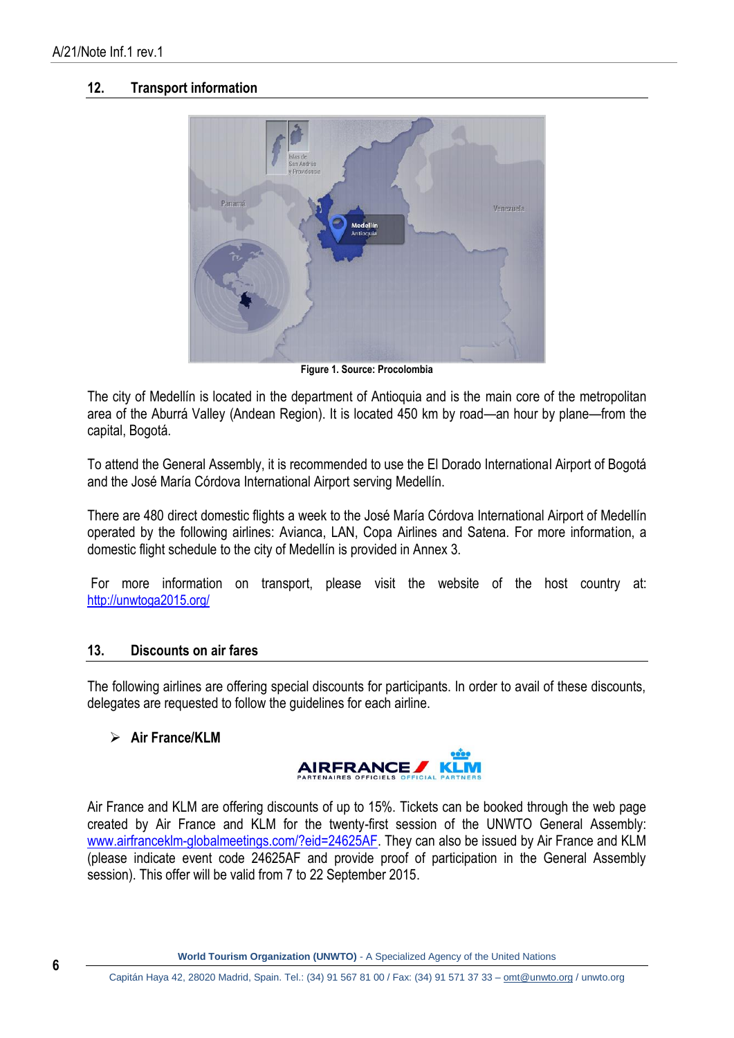## <span id="page-5-0"></span>**12. Transport information**



**Figure 1. Source: Procolombia**

The city of Medellín is located in the department of Antioquia and is the main core of the [metropolitan](http://es.wikipedia.org/wiki/%C3%81rea_metropolitana_del_Valle_de_Aburr%C3%A1)  [area of the Aburrá Valley \(](http://es.wikipedia.org/wiki/%C3%81rea_metropolitana_del_Valle_de_Aburr%C3%A1)Andean Region). It is located 450 km by road—an hour by plane—from the capital, Bogotá.

To attend the General Assembly, it is recommended to use the El Dorado International Airport of Bogotá and the José María Córdova International Airport serving Medellín.

There are 480 direct domestic flights a week to the José María Córdova International Airport of Medellín operated by the following airlines: Avianca, LAN, Copa Airlines and Satena. For more information, a domestic flight schedule to the city of Medellín is provided in Annex 3.

For more information on transport, please visit the website of the host country at: <http://unwtoga2015.org/>

## <span id="page-5-1"></span>**13. Discounts on air fares**

The following airlines are offering special discounts for participants. In order to avail of these discounts, delegates are requested to follow the guidelines for each airline.

## **Air France/KLM**



Air France and KLM are offering discounts of up to 15%. Tickets can be booked through the web page created by Air France and KLM for the twenty-first session of the UNWTO General Assembly: [www.airfranceklm-globalmeetings.com/?eid=24625AF.](http://www.airfranceklm-globalmeetings.com/?eid=24625AF) They can also be issued by Air France and KLM (please indicate event code 24625AF and provide proof of participation in the General Assembly session). This offer will be valid from 7 to 22 September 2015.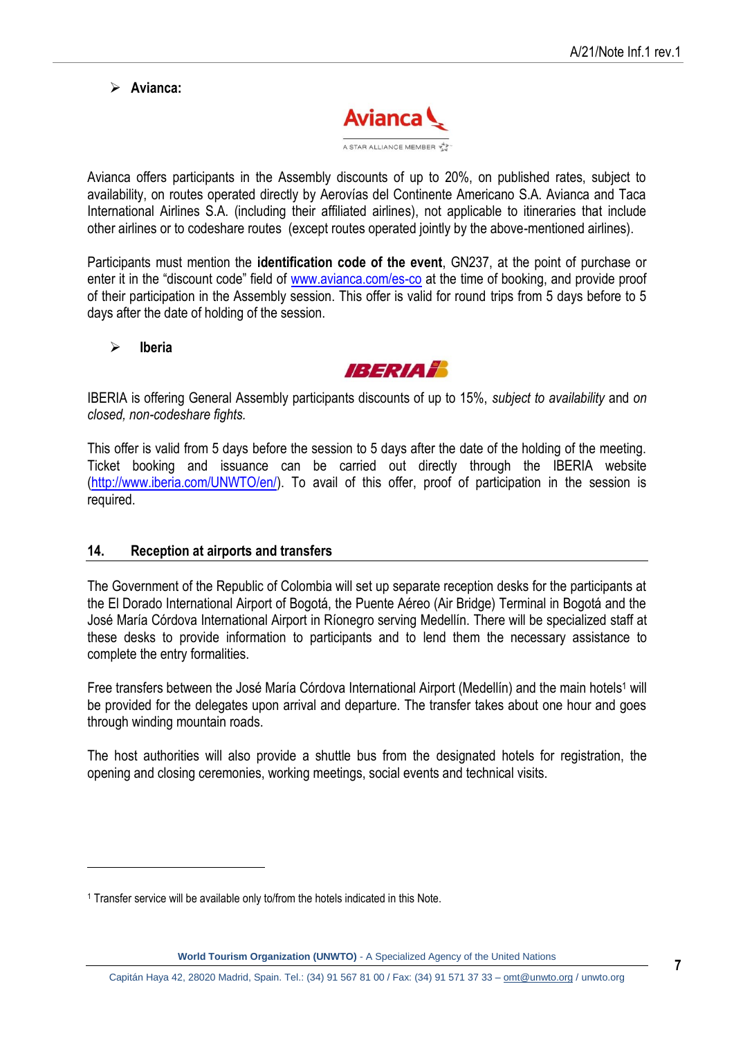**Avianca:** 



Avianca offers participants in the Assembly discounts of up to 20%, on published rates, subject to availability, on routes operated directly by Aerovías del Continente Americano S.A. Avianca and Taca International Airlines S.A. (including their affiliated airlines), not applicable to itineraries that include other airlines or to codeshare routes (except routes operated jointly by the above-mentioned airlines).

Participants must mention the **identification code of the event**, GN237, at the point of purchase or enter it in the "discount code" field of [www.avianca.com/es-co](http://www.avianca.com/es-co) at the time of booking, and provide proof of their participation in the Assembly session. This offer is valid for round trips from 5 days before to 5 days after the date of holding of the session.

**Iberia**

 $\overline{a}$ 



IBERIA is offering General Assembly participants discounts of up to 15%, *subject to availability* and *on closed, non-codeshare fights.*

This offer is valid from 5 days before the session to 5 days after the date of the holding of the meeting. Ticket booking and issuance can be carried out directly through the IBERIA website [\(http://www.iberia.com/UNWTO/en/\)](http://www.iberia.com/UNWTO/en/). To avail of this offer, proof of participation in the session is required.

## <span id="page-6-0"></span>**14. Reception at airports and transfers**

The Government of the Republic of Colombia will set up separate reception desks for the participants at the El Dorado International Airport of Bogotá, the Puente Aéreo (Air Bridge) Terminal in Bogotá and the José María Córdova International Airport in Ríonegro serving Medellín. There will be specialized staff at these desks to provide information to participants and to lend them the necessary assistance to complete the entry formalities.

Free transfers between the José María Córdova International Airport (Medellín) and the main hotels<sup>1</sup> will be provided for the delegates upon arrival and departure. The transfer takes about one hour and goes through winding mountain roads.

The host authorities will also provide a shuttle bus from the designated hotels for registration, the opening and closing ceremonies, working meetings, social events and technical visits.

<sup>1</sup> Transfer service will be available only to/from the hotels indicated in this Note.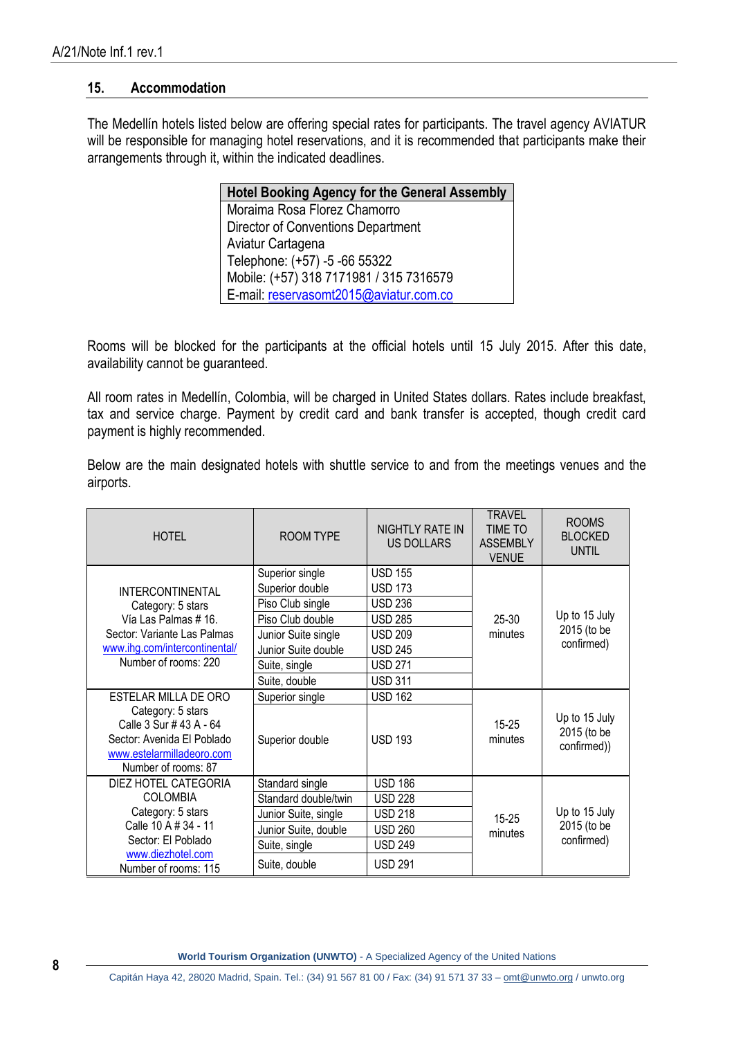#### <span id="page-7-0"></span>**15. Accommodation**

The Medellín hotels listed below are offering special rates for participants. The travel agency AVIATUR will be responsible for managing hotel reservations, and it is recommended that participants make their arrangements through it, within the indicated deadlines.

| <b>Hotel Booking Agency for the General Assembly</b> |
|------------------------------------------------------|
| Moraima Rosa Florez Chamorro                         |
| Director of Conventions Department                   |
| Aviatur Cartagena                                    |
| Telephone: (+57) -5 -66 55322                        |
| Mobile: (+57) 318 7171981 / 315 7316579              |
| E-mail: reservasomt2015@aviatur.com.co               |

Rooms will be blocked for the participants at the official hotels until 15 July 2015. After this date, availability cannot be guaranteed.

All room rates in Medellín, Colombia, will be charged in United States dollars. Rates include breakfast, tax and service charge. Payment by credit card and bank transfer is accepted, though credit card payment is highly recommended.

Below are the main designated hotels with shuttle service to and from the meetings venues and the airports.

| <b>HOTEL</b>                                                                                                                   | ROOM TYPE            | NIGHTLY RATE IN<br><b>US DOLLARS</b> | <b>TRAVEL</b><br>TIME TO<br><b>ASSEMBLY</b><br><b>VENUE</b> | <b>ROOMS</b><br><b>BLOCKED</b><br><b>UNTIL</b> |
|--------------------------------------------------------------------------------------------------------------------------------|----------------------|--------------------------------------|-------------------------------------------------------------|------------------------------------------------|
|                                                                                                                                | Superior single      | <b>USD 155</b>                       |                                                             |                                                |
| <b>INTERCONTINENTAL</b>                                                                                                        | Superior double      | <b>USD 173</b>                       |                                                             |                                                |
| Category: 5 stars                                                                                                              | Piso Club single     | <b>USD 236</b>                       |                                                             |                                                |
| Vía Las Palmas # 16.                                                                                                           | Piso Club double     | <b>USD 285</b>                       | $25-30$                                                     | Up to 15 July                                  |
| Sector: Variante Las Palmas                                                                                                    | Junior Suite single  | <b>USD 209</b>                       | minutes                                                     | 2015 (to be                                    |
| www.ihg.com/intercontinental/                                                                                                  | Junior Suite double  | <b>USD 245</b>                       |                                                             | confirmed)                                     |
| Number of rooms: 220                                                                                                           | Suite, single        | <b>USD 271</b>                       |                                                             |                                                |
|                                                                                                                                | Suite, double        | <b>USD 311</b>                       |                                                             |                                                |
| ESTELAR MILLA DE ORO                                                                                                           | Superior single      | <b>USD 162</b>                       |                                                             |                                                |
| Category: 5 stars<br>Calle 3 Sur # 43 A - 64<br>Sector: Avenida El Poblado<br>www.estelarmilladeoro.com<br>Number of rooms: 87 | Superior double      | <b>USD 193</b>                       | $15 - 25$<br>minutes                                        | Up to 15 July<br>2015 (to be<br>confirmed))    |
| DIEZ HOTEL CATEGORIA                                                                                                           | Standard single      | <b>USD 186</b>                       |                                                             |                                                |
| <b>COLOMBIA</b>                                                                                                                | Standard double/twin | <b>USD 228</b>                       |                                                             |                                                |
| Category: 5 stars                                                                                                              | Junior Suite, single | <b>USD 218</b>                       | $15 - 25$                                                   | Up to 15 July                                  |
| Calle 10 A # 34 - 11                                                                                                           | Junior Suite, double | <b>USD 260</b>                       | minutes                                                     | 2015 (to be                                    |
| Sector: El Poblado                                                                                                             | Suite, single        | <b>USD 249</b>                       |                                                             | confirmed)                                     |
| www.diezhotel.com<br>Number of rooms: 115                                                                                      | Suite, double        | <b>USD 291</b>                       |                                                             |                                                |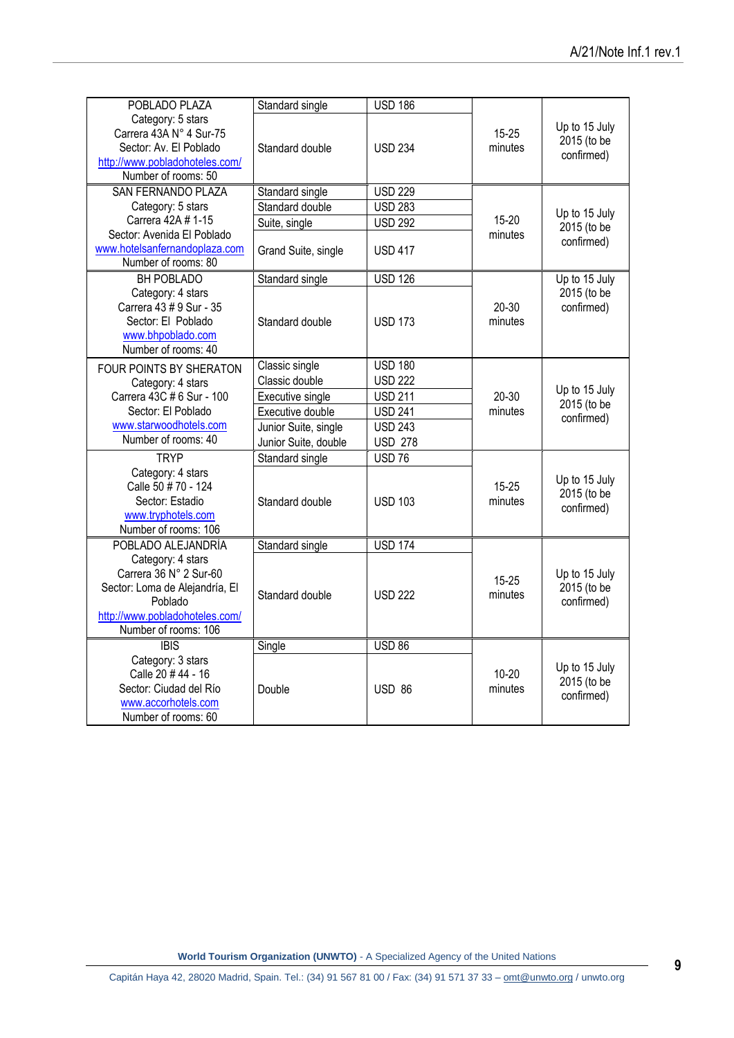| POBLADO PLAZA                                                                                                                                      | Standard single      | <b>USD 186</b> |                      |                                            |
|----------------------------------------------------------------------------------------------------------------------------------------------------|----------------------|----------------|----------------------|--------------------------------------------|
| Category: 5 stars<br>Carrera 43A N° 4 Sur-75<br>Sector: Av. El Poblado<br>http://www.pobladohoteles.com/<br>Number of rooms: 50                    | Standard double      | <b>USD 234</b> | $15 - 25$<br>minutes | Up to 15 July<br>2015 (to be<br>confirmed) |
| <b>SAN FERNANDO PLAZA</b>                                                                                                                          | Standard single      | <b>USD 229</b> |                      |                                            |
| Category: 5 stars                                                                                                                                  | Standard double      | <b>USD 283</b> |                      | Up to 15 July                              |
| Carrera 42A # 1-15                                                                                                                                 | Suite, single        | <b>USD 292</b> | $15-20$              | 2015 (to be                                |
| Sector: Avenida El Poblado<br>www.hotelsanfernandoplaza.com<br>Number of rooms: 80                                                                 | Grand Suite, single  | <b>USD 417</b> | minutes              | confirmed)                                 |
| BH POBLADO                                                                                                                                         | Standard single      | <b>USD 126</b> |                      | Up to 15 July                              |
| Category: 4 stars<br>Carrera 43 # 9 Sur - 35<br>Sector: El Poblado<br>www.bhpoblado.com<br>Number of rooms: 40                                     | Standard double      | <b>USD 173</b> | $20 - 30$<br>minutes | 2015 (to be<br>confirmed)                  |
| <b>FOUR POINTS BY SHERATON</b>                                                                                                                     | Classic single       | <b>USD 180</b> |                      |                                            |
| Category: 4 stars                                                                                                                                  | Classic double       | <b>USD 222</b> |                      | Up to 15 July                              |
| Carrera 43C # 6 Sur - 100                                                                                                                          | Executive single     | <b>USD 211</b> | $20 - 30$            |                                            |
| Sector: El Poblado                                                                                                                                 | Executive double     | <b>USD 241</b> | minutes              | 2015 (to be                                |
| www.starwoodhotels.com                                                                                                                             | Junior Suite, single | <b>USD 243</b> |                      | confirmed)                                 |
| Number of rooms: 40                                                                                                                                | Junior Suite, double | <b>USD 278</b> |                      |                                            |
| <b>TRYP</b>                                                                                                                                        | Standard single      | <b>USD 76</b>  |                      |                                            |
| Category: 4 stars<br>Calle 50 # 70 - 124<br>Sector: Estadio<br>www.tryphotels.com<br>Number of rooms: 106                                          | Standard double      | <b>USD 103</b> | $15 - 25$<br>minutes | Up to 15 July<br>2015 (to be<br>confirmed) |
| POBLADO ALEJANDRÍA                                                                                                                                 | Standard single      | <b>USD 174</b> |                      |                                            |
| Category: 4 stars<br>Carrera 36 N° 2 Sur-60<br>Sector: Loma de Alejandría, El<br>Poblado<br>http://www.pobladohoteles.com/<br>Number of rooms: 106 | Standard double      | <b>USD 222</b> | $15 - 25$<br>minutes | Up to 15 July<br>2015 (to be<br>confirmed) |
| <b>IBIS</b>                                                                                                                                        | Single               | <b>USD 86</b>  |                      |                                            |
| Category: 3 stars<br>Calle 20 #44 - 16<br>Sector: Ciudad del Río<br>www.accorhotels.com<br>Number of rooms: 60                                     | Double               | <b>USD 86</b>  | $10 - 20$<br>minutes | Up to 15 July<br>2015 (to be<br>confirmed) |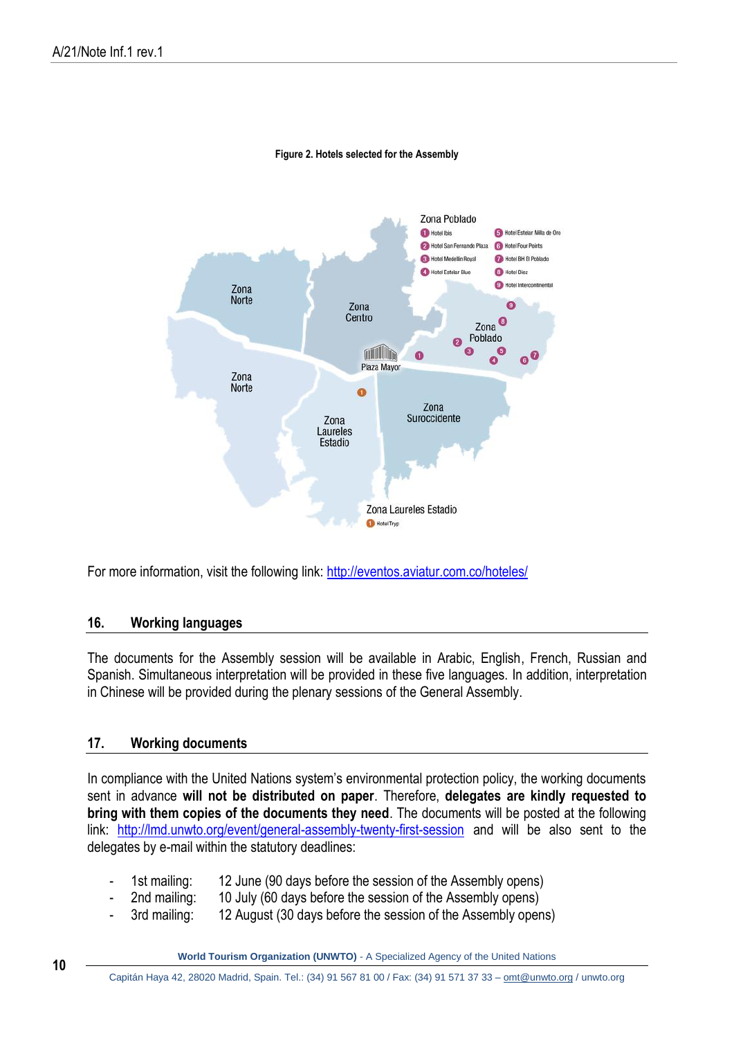

#### **Figure 2. Hotels selected for the Assembly**

For more information, visit the following link: <http://eventos.aviatur.com.co/hoteles/>

#### <span id="page-9-0"></span>**16. Working languages**

The documents for the Assembly session will be available in Arabic, English, French, Russian and Spanish. Simultaneous interpretation will be provided in these five languages. In addition, interpretation in Chinese will be provided during the plenary sessions of the General Assembly.

#### <span id="page-9-1"></span>**17. Working documents**

In compliance with the United Nations system's environmental protection policy, the working documents sent in advance **will not be distributed on paper**. Therefore, **delegates are kindly requested to bring with them copies of the documents they need**. The documents will be posted at the following link: <http://lmd.unwto.org/event/general-assembly-twenty-first-session> and will be also sent to the delegates by e-mail within the statutory deadlines:

- 1st mailing: 12 June (90 days before the session of the Assembly opens)
	- 2nd mailing: 10 July (60 days before the session of the Assembly opens)
- 3rd mailing: 12 August (30 days before the session of the Assembly opens)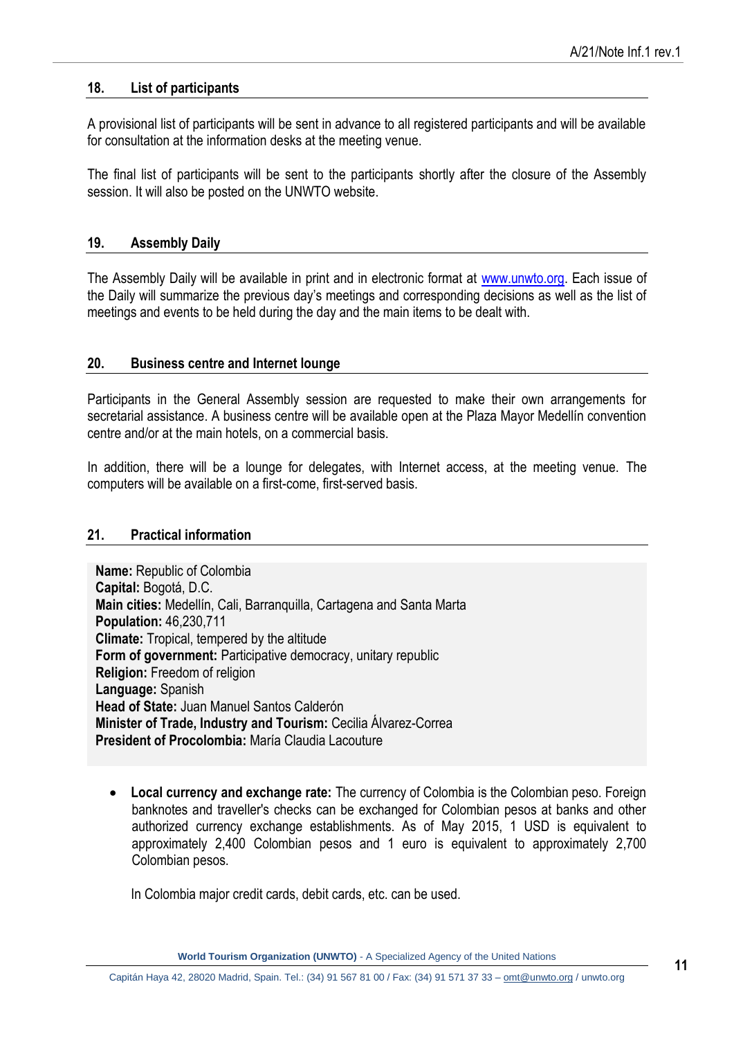#### <span id="page-10-0"></span>**18. List of participants**

A provisional list of participants will be sent in advance to all registered participants and will be available for consultation at the information desks at the meeting venue.

The final list of participants will be sent to the participants shortly after the closure of the Assembly session. It will also be posted on the UNWTO website.

#### <span id="page-10-1"></span>**19. Assembly Daily**

The Assembly Daily will be available in print and in electronic format at [www.unwto.org.](http://www.unwto.org/) Each issue of the Daily will summarize the previous day's meetings and corresponding decisions as well as the list of meetings and events to be held during the day and the main items to be dealt with.

#### <span id="page-10-2"></span>**20. Business centre and Internet lounge**

Participants in the General Assembly session are requested to make their own arrangements for secretarial assistance. A business centre will be available open at the Plaza Mayor Medellín convention centre and/or at the main hotels, on a commercial basis.

In addition, there will be a lounge for delegates, with Internet access, at the meeting venue. The computers will be available on a first-come, first-served basis.

#### <span id="page-10-3"></span>**21. Practical information**

**Name:** Republic of Colombia **Capital:** Bogotá, D.C. **Main cities:** Medellín, Cali, Barranquilla, Cartagena and Santa Marta **Population:** 46,230,711 **Climate:** Tropical, tempered by the altitude **Form of government:** Participative democracy, unitary republic **Religion:** Freedom of religion **Language:** Spanish **Head of State:** Juan Manuel Santos Calderón **Minister of Trade, Industry and Tourism:** Cecilia Álvarez-Correa **President of Procolombia:** María Claudia Lacouture

 **Local currency and exchange rate:** The currency of Colombia is the Colombian peso. Foreign banknotes and traveller's checks can be exchanged for Colombian pesos at banks and other authorized currency exchange establishments. As of May 2015, 1 USD is equivalent to approximately 2,400 Colombian pesos and 1 euro is equivalent to approximately 2,700 Colombian pesos.

In Colombia major credit cards, debit cards, etc. can be used.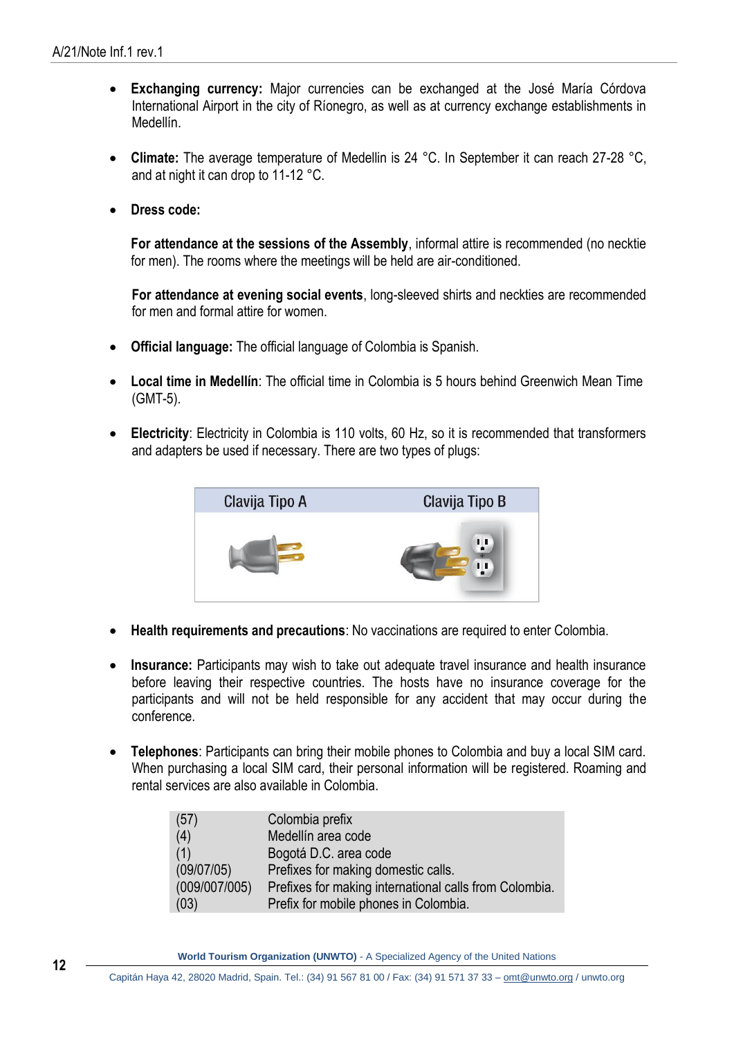- **Exchanging currency:** Major currencies can be exchanged at the José María Córdova International Airport in the city of Ríonegro, as well as at currency exchange establishments in Medellín.
- **Climate:** The average temperature of Medellin is 24 °C. In September it can reach 27-28 °C, and at night it can drop to 11-12 °C.
- **Dress code:**

**For attendance at the sessions of the Assembly**, informal attire is recommended (no necktie for men). The rooms where the meetings will be held are air-conditioned.

**For attendance at evening social events**, long-sleeved shirts and neckties are recommended for men and formal attire for women.

- **Official language:** The official language of Colombia is Spanish.
- **Local time in Medellín**: The official time in Colombia is 5 hours behind Greenwich Mean Time (GMT-5).
- **Electricity**: Electricity in Colombia is 110 volts, 60 Hz, so it is recommended that transformers and adapters be used if necessary. There are two types of plugs:



- **Health requirements and precautions**: No vaccinations are required to enter Colombia.
- Insurance: Participants may wish to take out adequate travel insurance and health insurance before leaving their respective countries. The hosts have no insurance coverage for the participants and will not be held responsible for any accident that may occur during the conference.
- **Telephones**: Participants can bring their mobile phones to Colombia and buy a local SIM card. When purchasing a local SIM card, their personal information will be registered. Roaming and rental services are also available in Colombia.

| (57)          | Colombia prefix                                        |
|---------------|--------------------------------------------------------|
| (4)           | Medellín area code                                     |
| (1)           | Bogotá D.C. area code                                  |
| (09/07/05)    | Prefixes for making domestic calls.                    |
| (009/007/005) | Prefixes for making international calls from Colombia. |
| (03)          | Prefix for mobile phones in Colombia.                  |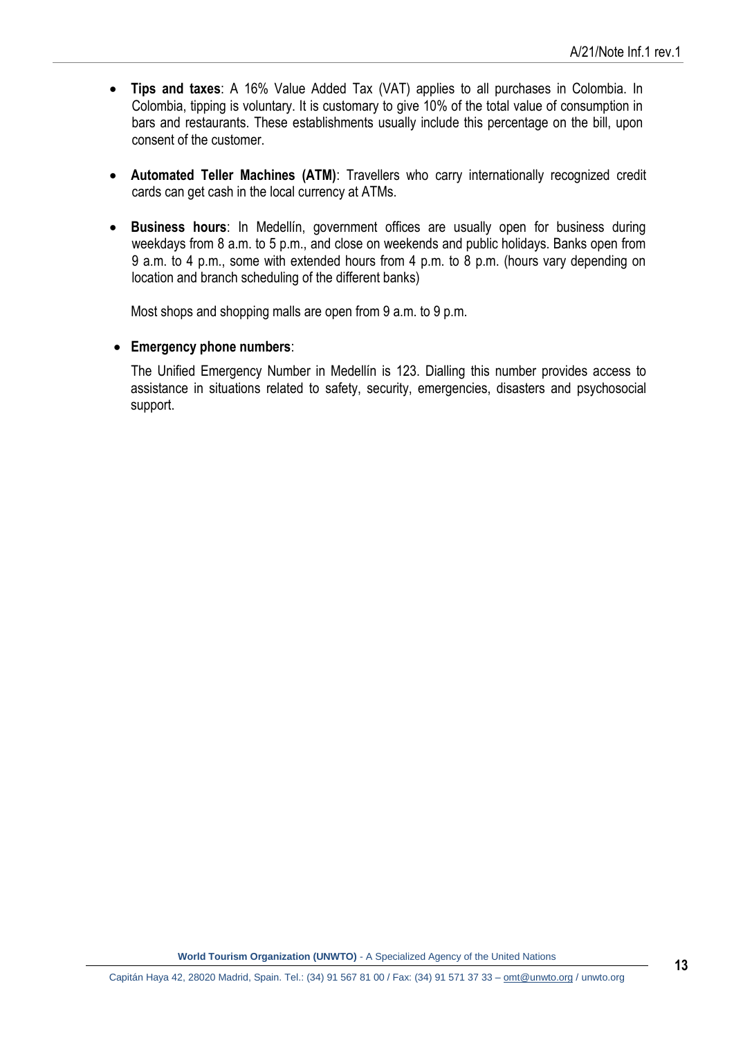- **Tips and taxes**: A 16% Value Added Tax (VAT) applies to all purchases in Colombia. In Colombia, tipping is voluntary. It is customary to give 10% of the total value of consumption in bars and restaurants. These establishments usually include this percentage on the bill, upon consent of the customer.
- **Automated Teller Machines (ATM)**: Travellers who carry internationally recognized credit cards can get cash in the local currency at ATMs.
- **Business hours**: In Medellín, government offices are usually open for business during weekdays from 8 a.m. to 5 p.m., and close on weekends and public holidays. Banks open from 9 a.m. to 4 p.m., some with extended hours from 4 p.m. to 8 p.m. (hours vary depending on location and branch scheduling of the different banks)

Most shops and shopping malls are open from 9 a.m. to 9 p.m.

### **Emergency phone numbers**:

The Unified Emergency Number in Medellín is 123. Dialling this number provides access to assistance in situations related to safety, security, emergencies, disasters and psychosocial support.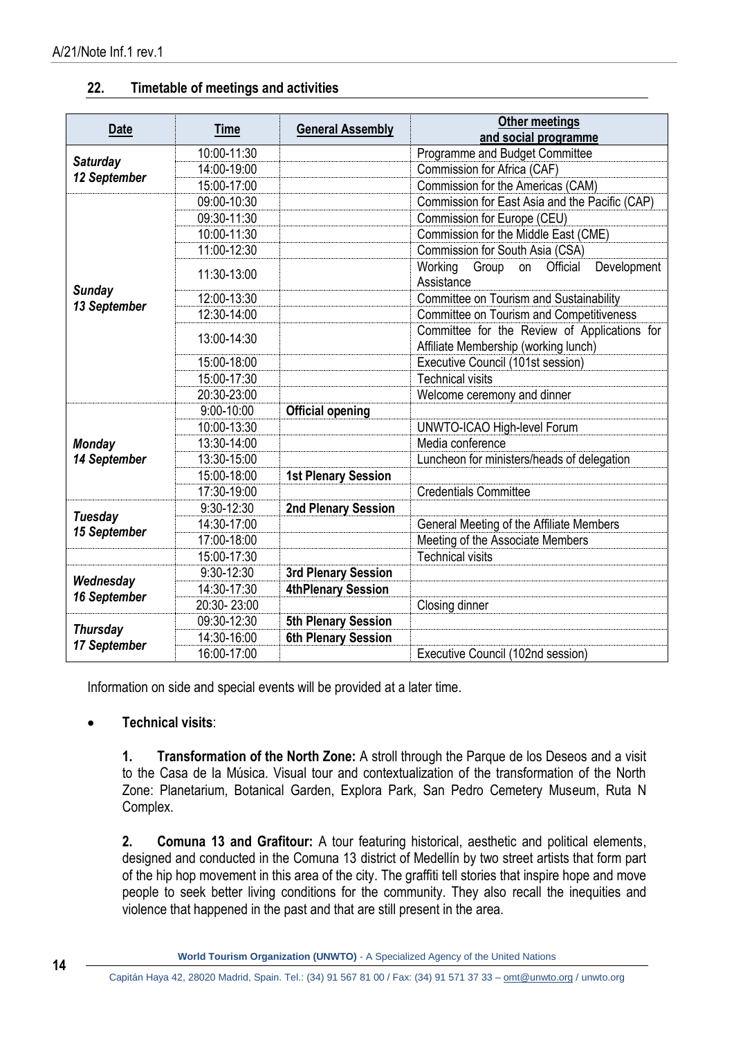## <span id="page-13-0"></span>**22. Timetable of meetings and activities**

| Date            | <b>Time</b> | <b>General Assembly</b>    | Other meetings                                                                       |  |  |
|-----------------|-------------|----------------------------|--------------------------------------------------------------------------------------|--|--|
|                 |             |                            | and social programme                                                                 |  |  |
| <b>Saturday</b> | 10:00-11:30 |                            | Programme and Budget Committee                                                       |  |  |
| 12 September    | 14:00-19:00 |                            | Commission for Africa (CAF)                                                          |  |  |
|                 | 15:00-17:00 |                            | Commission for the Americas (CAM)                                                    |  |  |
|                 | 09:00-10:30 |                            | Commission for East Asia and the Pacific (CAP)                                       |  |  |
|                 | 09:30-11:30 |                            | Commission for Europe (CEU)                                                          |  |  |
|                 | 10:00-11:30 |                            | Commission for the Middle East (CME)                                                 |  |  |
|                 | 11:00-12:30 |                            | Commission for South Asia (CSA)                                                      |  |  |
|                 | 11:30-13:00 |                            | Development<br>Working<br>Group<br>Official<br>on<br>Assistance                      |  |  |
| <b>Sunday</b>   | 12:00-13:30 |                            | Committee on Tourism and Sustainability                                              |  |  |
| 13 September    | 12:30-14:00 |                            | Committee on Tourism and Competitiveness                                             |  |  |
|                 | 13:00-14:30 |                            | Committee for the Review of Applications for<br>Affiliate Membership (working lunch) |  |  |
|                 | 15:00-18:00 |                            | Executive Council (101st session)                                                    |  |  |
|                 | 15:00-17:30 |                            | <b>Technical visits</b>                                                              |  |  |
|                 | 20:30-23:00 |                            | Welcome ceremony and dinner                                                          |  |  |
|                 | 9:00-10:00  | <b>Official opening</b>    |                                                                                      |  |  |
|                 | 10:00-13:30 |                            | UNWTO-ICAO High-level Forum                                                          |  |  |
| <b>Monday</b>   | 13:30-14:00 |                            | Media conference                                                                     |  |  |
| 14 September    | 13:30-15:00 |                            | Luncheon for ministers/heads of delegation                                           |  |  |
|                 | 15:00-18:00 | <b>1st Plenary Session</b> |                                                                                      |  |  |
|                 | 17:30-19:00 |                            | <b>Credentials Committee</b>                                                         |  |  |
|                 | 9:30-12:30  | <b>2nd Plenary Session</b> |                                                                                      |  |  |
| <b>Tuesday</b>  | 14:30-17:00 |                            | General Meeting of the Affiliate Members                                             |  |  |
| 15 September    | 17:00-18:00 |                            | Meeting of the Associate Members                                                     |  |  |
|                 | 15:00-17:30 |                            | <b>Technical visits</b>                                                              |  |  |
|                 | 9:30-12:30  | <b>3rd Plenary Session</b> |                                                                                      |  |  |
| Wednesday       | 14:30-17:30 | <b>4thPlenary Session</b>  |                                                                                      |  |  |
| 16 September    | 20:30-23:00 |                            | Closing dinner                                                                       |  |  |
|                 | 09:30-12:30 | <b>5th Plenary Session</b> |                                                                                      |  |  |
| <b>Thursday</b> | 14:30-16:00 | <b>6th Plenary Session</b> |                                                                                      |  |  |
| 17 September    | 16:00-17:00 |                            | Executive Council (102nd session)                                                    |  |  |

Information on side and special events will be provided at a later time.

## **Technical visits**:

**1. Transformation of the North Zone:** A stroll through the Parque de los Deseos and a visit to the Casa de la Música. Visual tour and contextualization of the transformation of the North Zone: Planetarium, Botanical Garden, Explora Park, San Pedro Cemetery Museum, Ruta N Complex.

**2. Comuna 13 and Grafitour:** A tour featuring historical, aesthetic and political elements, designed and conducted in the Comuna 13 district of Medellín by two street artists that form part of the hip hop movement in this area of the city. The graffiti tell stories that inspire hope and move people to seek better living conditions for the community. They also recall the inequities and violence that happened in the past and that are still present in the area.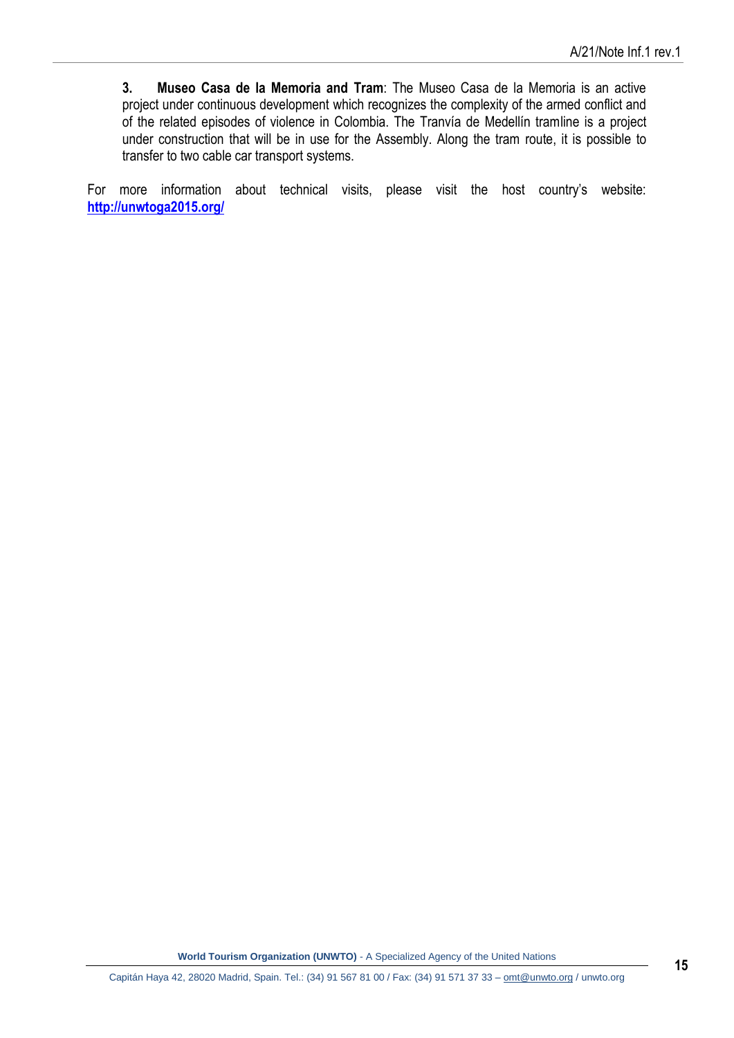**3. Museo Casa de la Memoria and Tram**: The Museo Casa de la Memoria is an active project under continuous development which recognizes the complexity of the armed conflict and of the related episodes of violence in Colombia. The Tranvía de Medellín tramline is a project under construction that will be in use for the Assembly. Along the tram route, it is possible to transfer to two cable car transport systems.

For more information about technical visits, please visit the host country's website: **<http://unwtoga2015.org/>**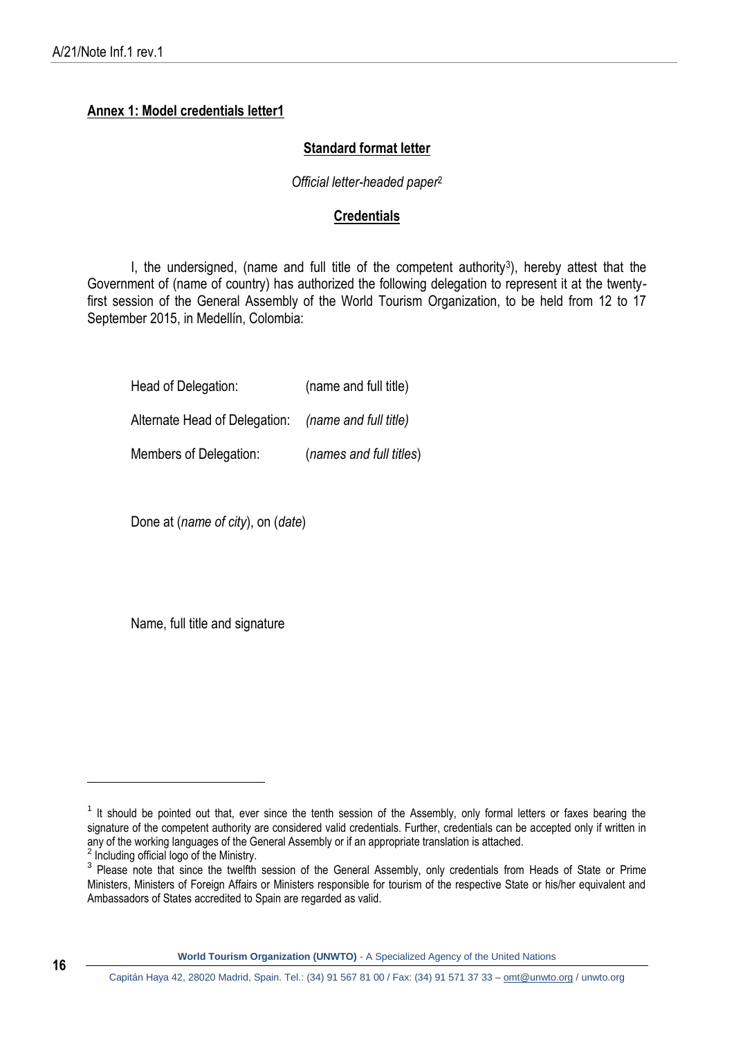## <span id="page-15-0"></span>**Annex 1: Model credentials letter1**

#### **Standard format letter**

#### *Official letter-headed paper*<sup>2</sup>

#### **Credentials**

I, the undersigned, (name and full title of the competent authority<sup>3</sup>), hereby attest that the Government of (name of country) has authorized the following delegation to represent it at the twentyfirst session of the General Assembly of the World Tourism Organization, to be held from 12 to 17 September 2015, in Medellín, Colombia:

| Head of Delegation:                                 | (name and full title)   |  |  |  |
|-----------------------------------------------------|-------------------------|--|--|--|
| Alternate Head of Delegation: (name and full title) |                         |  |  |  |
| Members of Delegation:                              | (names and full titles) |  |  |  |

Done at (*name of city*), on (*date*)

Name, full title and signature

**World Tourism Organization (UNWTO)** - A Specialized Agency of the United Nations

 $\overline{a}$ 

 $1$  It should be pointed out that, ever since the tenth session of the Assembly, only formal letters or faxes bearing the signature of the competent authority are considered valid credentials. Further, credentials can be accepted only if written in any of the working languages of the General Assembly or if an appropriate translation is attached.

<sup>&</sup>lt;sup>2</sup> Including official logo of the Ministry.

<sup>&</sup>lt;sup>3</sup> Please note that since the twelfth session of the General Assembly, only credentials from Heads of State or Prime Ministers, Ministers of Foreign Affairs or Ministers responsible for tourism of the respective State or his/her equivalent and Ambassadors of States accredited to Spain are regarded as valid.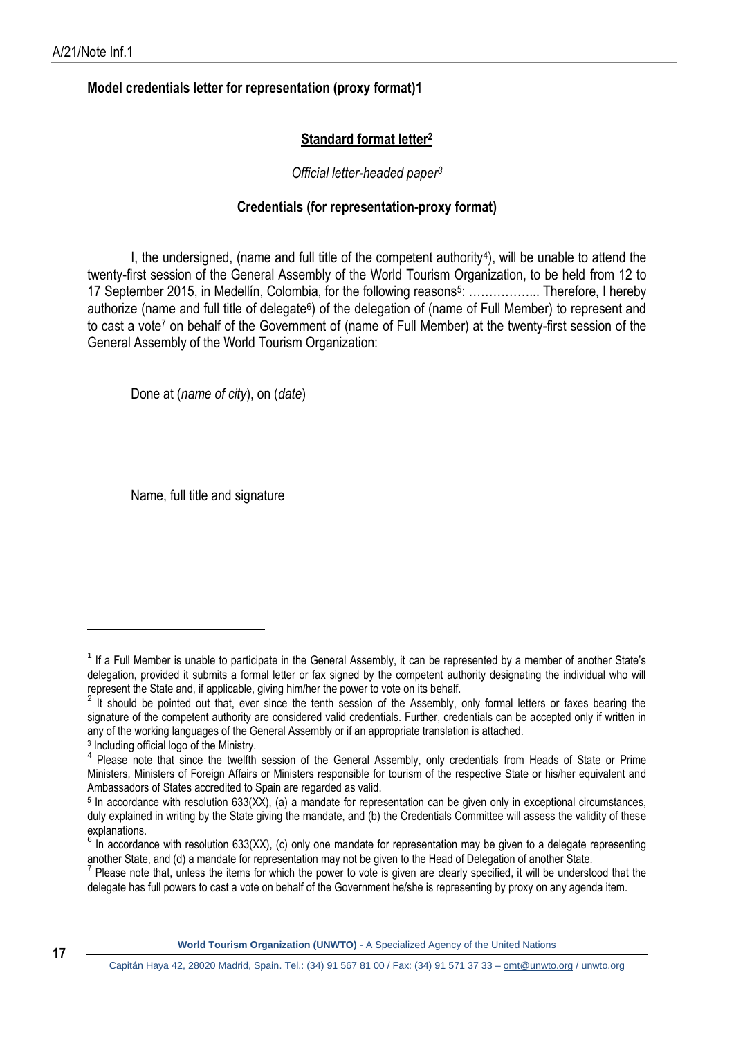## **Model credentials letter for representation (proxy format)1**

## **Standard format letter<sup>2</sup>**

#### *Official letter-headed paper<sup>3</sup>*

### **Credentials (for representation-proxy format)**

I, the undersigned, (name and full title of the competent authority<sup>4</sup>), will be unable to attend the twenty-first session of the General Assembly of the World Tourism Organization, to be held from 12 to 17 September 2015, in Medellín, Colombia, for the following reasons<sup>5</sup>: ................... Therefore, I hereby authorize (name and full title of delegate<sup>6</sup>) of the delegation of (name of Full Member) to represent and to cast a vote<sup>7</sup> on behalf of the Government of (name of Full Member) at the twenty-first session of the General Assembly of the World Tourism Organization:

Done at (*name of city*), on (*date*)

Name, full title and signature

 $\overline{a}$ 

<sup>&</sup>lt;sup>1</sup> If a Full Member is unable to participate in the General Assembly, it can be represented by a member of another State's delegation, provided it submits a formal letter or fax signed by the competent authority designating the individual who will represent the State and, if applicable, giving him/her the power to vote on its behalf.

<sup>2</sup> It should be pointed out that, ever since the tenth session of the Assembly, only formal letters or faxes bearing the signature of the competent authority are considered valid credentials. Further, credentials can be accepted only if written in any of the working languages of the General Assembly or if an appropriate translation is attached.

<sup>3</sup> Including official logo of the Ministry.

<sup>&</sup>lt;sup>4</sup> Please note that since the twelfth session of the General Assembly, only credentials from Heads of State or Prime Ministers, Ministers of Foreign Affairs or Ministers responsible for tourism of the respective State or his/her equivalent and Ambassadors of States accredited to Spain are regarded as valid.

<sup>5</sup> In accordance with resolution 633(XX), (a) a mandate for representation can be given only in exceptional circumstances, duly explained in writing by the State giving the mandate, and (b) the Credentials Committee will assess the validity of these explanations.

 $6$  In accordance with resolution 633(XX), (c) only one mandate for representation may be given to a delegate representing another State, and (d) a mandate for representation may not be given to the Head of Delegation of another State.

<sup>7</sup> Please note that, unless the items for which the power to vote is given are clearly specified, it will be understood that the delegate has full powers to cast a vote on behalf of the Government he/she is representing by proxy on any agenda item.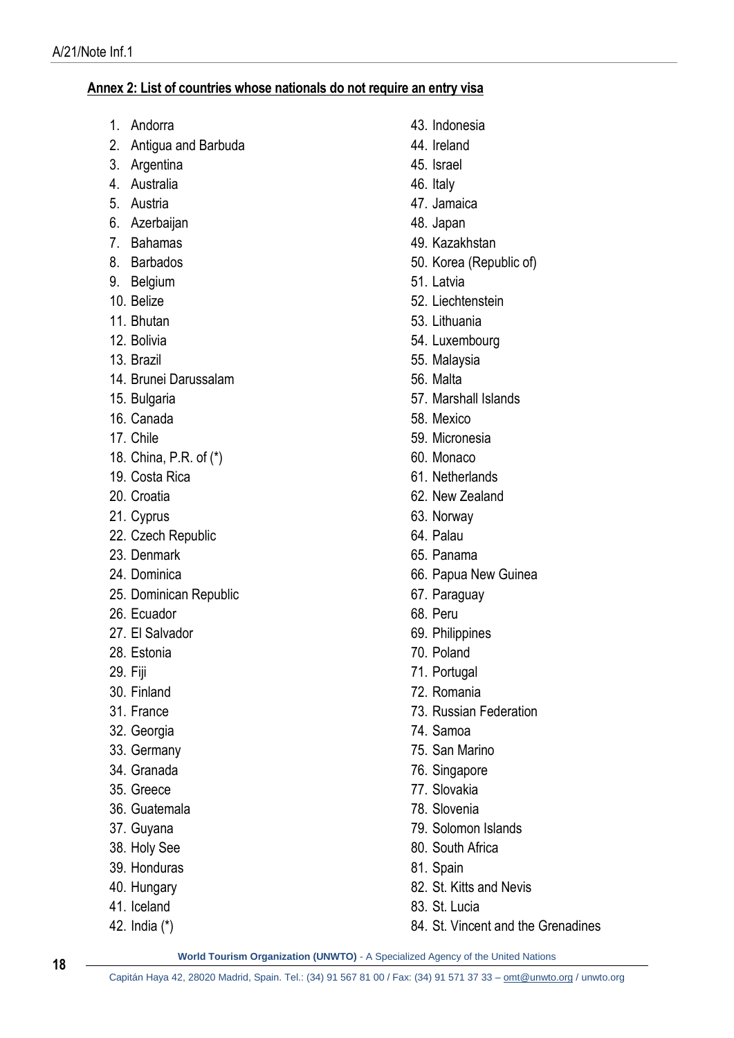## <span id="page-17-0"></span>**Annex 2: List of countries whose nationals do not require an entry visa**

- 1. Andorra
- 2. Antigua and Barbuda
- 3. Argentina
- 4. Australia
- 5. Austria
- 6. Azerbaijan
- 7. Bahamas
- 8. Barbados
- 9. Belgium
- 10. Belize
- 11. Bhutan
- 12. Bolivia
- 13. Brazil
- 14. Brunei Darussalam
- 15. Bulgaria
- 16. Canada
- 17. Chile
- 18. China, P.R. of (\*)
- 19. Costa Rica
- 20. Croatia
- 21. Cyprus
- 22. Czech Republic
- 23. Denmark
- 24. Dominica
- 25. Dominican Republic
- 26. Ecuador
- 27. El Salvador
- 28. Estonia
- 29. Fiji
- 30. Finland
- 31. France
- 32. Georgia
- 33. Germany
- 34. Granada
- 35. Greece
- 36. Guatemala
- 37. Guyana
- 38. Holy See
- 39. Honduras
- 40. Hungary
- 41. Iceland
- 42. India (\*)
- 43. Indonesia
- 44. Ireland
- 45. Israel
- 46. Italy
- 47. Jamaica
- 48. Japan
- 49. Kazakhstan
- 50. Korea (Republic of)
- 51. Latvia
- 52. Liechtenstein
- 53. Lithuania
- 54. Luxembourg
- 55. Malaysia
- 56. Malta
- 57. Marshall Islands
- 58. Mexico
- 59. Micronesia
- 60. Monaco
- 61. Netherlands
- 62. New Zealand
- 63. Norway
- 64. Palau
- 65. Panama
- 66. Papua New Guinea
- 67. Paraguay
- 68. Peru
- 69. Philippines
- 70. Poland
- 71. Portugal
- 72. Romania
- 73. Russian Federation
- 74. Samoa
- 75. San Marino
- 76. Singapore
- 77. Slovakia
- 78. Slovenia
- 79. Solomon Islands
- 80. South Africa
- 81. Spain
- 82. St. Kitts and Nevis
- 83. St. Lucia
- 84. St. Vincent and the Grenadines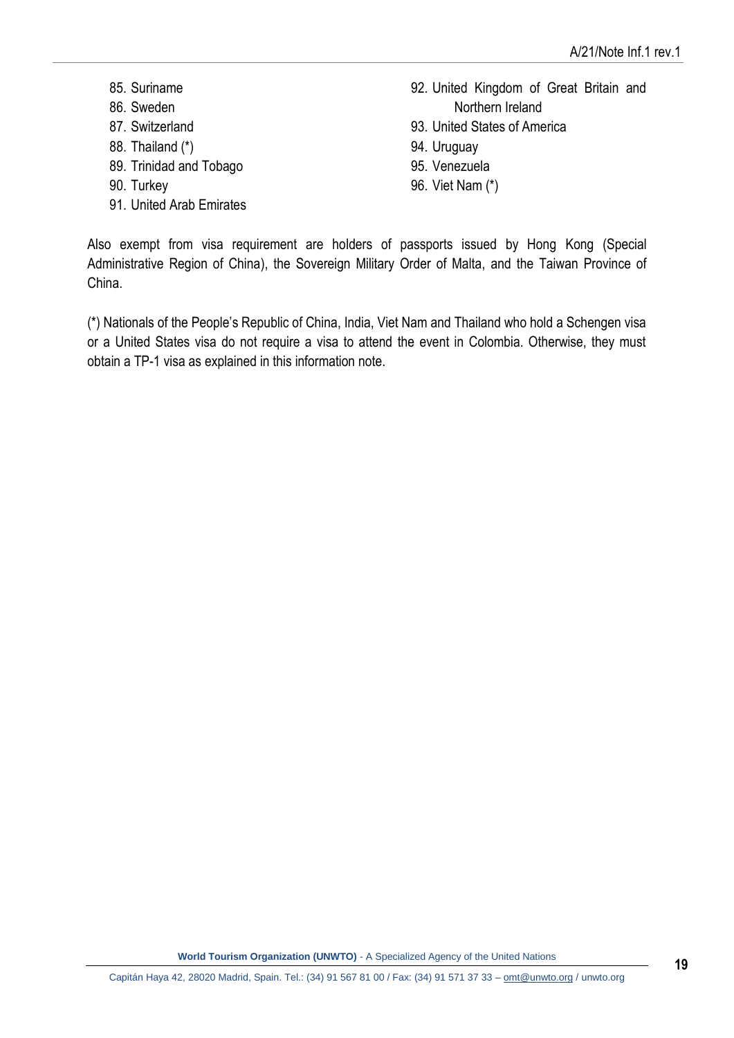- 85. Suriname
- 86. Sweden
- 87. Switzerland
- 88. Thailand (\*)
- 89. Trinidad and Tobago
- 90. Turkey
- 91. United Arab Emirates
- 92. United Kingdom of Great Britain and Northern Ireland
- 93. United States of America
- 94. Uruguay
- 95. Venezuela
- 96. Viet Nam (\*)

Also exempt from visa requirement are holders of passports issued by Hong Kong (Special Administrative Region of China), the Sovereign Military Order of Malta, and the Taiwan Province of China.

(\*) Nationals of the People's Republic of China, India, Viet Nam and Thailand who hold a Schengen visa or a United States visa do not require a visa to attend the event in Colombia. Otherwise, they must obtain a TP-1 visa as explained in this information note.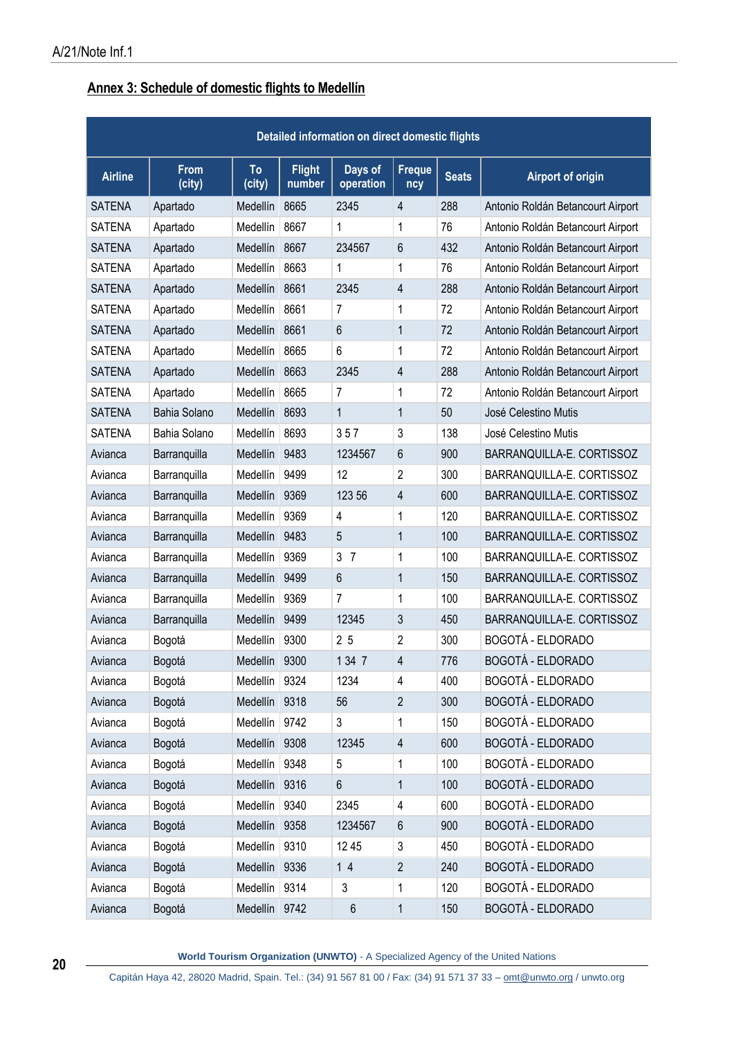<span id="page-19-0"></span>

| Detailed information on direct domestic flights |                       |               |                         |                      |                      |              |                                   |  |  |
|-------------------------------------------------|-----------------------|---------------|-------------------------|----------------------|----------------------|--------------|-----------------------------------|--|--|
| <b>Airline</b>                                  | <b>From</b><br>(city) | To<br>(city)  | <b>Flight</b><br>number | Days of<br>operation | <b>Freque</b><br>ncy | <b>Seats</b> | <b>Airport of origin</b>          |  |  |
| <b>SATENA</b>                                   | Apartado              | Medellín      | 8665                    | 2345                 | 4                    | 288          | Antonio Roldán Betancourt Airport |  |  |
| <b>SATENA</b>                                   | Apartado              | Medellín      | 8667                    | 1                    | 1                    | 76           | Antonio Roldán Betancourt Airport |  |  |
| <b>SATENA</b>                                   | Apartado              | Medellín      | 8667                    | 234567               | 6                    | 432          | Antonio Roldán Betancourt Airport |  |  |
| <b>SATENA</b>                                   | Apartado              | Medellín      | 8663                    | 1                    | 1                    | 76           | Antonio Roldán Betancourt Airport |  |  |
| <b>SATENA</b>                                   | Apartado              | Medellín      | 8661                    | 2345                 | 4                    | 288          | Antonio Roldán Betancourt Airport |  |  |
| <b>SATENA</b>                                   | Apartado              | Medellín      | 8661                    | 7                    | 1                    | 72           | Antonio Roldán Betancourt Airport |  |  |
| <b>SATENA</b>                                   | Apartado              | Medellín      | 8661                    | 6                    | 1                    | 72           | Antonio Roldán Betancourt Airport |  |  |
| SATENA                                          | Apartado              | Medellín      | 8665                    | 6                    | 1                    | 72           | Antonio Roldán Betancourt Airport |  |  |
| <b>SATENA</b>                                   | Apartado              | Medellín      | 8663                    | 2345                 | 4                    | 288          | Antonio Roldán Betancourt Airport |  |  |
| SATENA                                          | Apartado              | Medellín      | 8665                    | 7                    | 1                    | 72           | Antonio Roldán Betancourt Airport |  |  |
| <b>SATENA</b>                                   | Bahia Solano          | Medellín      | 8693                    | $\mathbf{1}$         | 1                    | 50           | José Celestino Mutis              |  |  |
| SATENA                                          | Bahia Solano          | Medellín      | 8693                    | 357                  | 3                    | 138          | José Celestino Mutis              |  |  |
| Avianca                                         | Barranquilla          | Medellín      | 9483                    | 1234567              | 6                    | 900          | BARRANQUILLA-E. CORTISSOZ         |  |  |
| Avianca                                         | Barranquilla          | Medellín      | 9499                    | 12                   | $\overline{c}$       | 300          | BARRANQUILLA-E. CORTISSOZ         |  |  |
| Avianca                                         | Barranquilla          | Medellín      | 9369                    | 123 56               | $\overline{4}$       | 600          | BARRANQUILLA-E. CORTISSOZ         |  |  |
| Avianca                                         | Barranquilla          | Medellín      | 9369                    | 4                    | 1                    | 120          | BARRANQUILLA-E. CORTISSOZ         |  |  |
| Avianca                                         | Barranquilla          | Medellín      | 9483                    | 5                    | 1                    | 100          | BARRANQUILLA-E. CORTISSOZ         |  |  |
| Avianca                                         | Barranquilla          | Medellín      | 9369                    | 3<br>$\overline{7}$  | 1                    | 100          | BARRANQUILLA-E. CORTISSOZ         |  |  |
| Avianca                                         | Barranquilla          | Medellín      | 9499                    | 6                    | 1                    | 150          | BARRANQUILLA-E. CORTISSOZ         |  |  |
| Avianca                                         | Barranquilla          | Medellín      | 9369                    | 7                    | 1                    | 100          | BARRANQUILLA-E. CORTISSOZ         |  |  |
| Avianca                                         | Barranquilla          | Medellín      | 9499                    | 12345                | 3                    | 450          | BARRANQUILLA-E. CORTISSOZ         |  |  |
| Avianca                                         | Bogotá                | Medellín      | 9300                    | 2 <sub>5</sub>       | 2                    | 300          | <b>BOGOTÁ - ELDORADO</b>          |  |  |
| Avianca                                         | Bogotá                | Medellín      | 9300                    | 1 34 7               | 4                    | 776          | BOGOTÁ - ELDORADO                 |  |  |
| Avianca                                         | Bogotá                | Medellín      | 9324                    | 1234                 | 4                    | 400          | <b>BOGOTÁ - ELDORADO</b>          |  |  |
| Avianca                                         | Bogotá                | Medellín      | 9318                    | 56                   | $\overline{2}$       | 300          | <b>BOGOTÁ - ELDORADO</b>          |  |  |
| Avianca                                         | Bogotá                | Medellín      | 9742                    | 3                    | 1                    | 150          | BOGOTÁ - ELDORADO                 |  |  |
| Avianca                                         | Bogotá                | Medellín      | 9308                    | 12345                | $\overline{4}$       | 600          | BOGOTÁ - ELDORADO                 |  |  |
| Avianca                                         | Bogotá                | Medellín      | 9348                    | 5                    | 1                    | 100          | <b>BOGOTÁ - ELDORADO</b>          |  |  |
| Avianca                                         | Bogotá                | Medellín      | 9316                    | 6                    | 1                    | 100          | BOGOTÁ - ELDORADO                 |  |  |
| Avianca                                         | Bogotá                | Medellín      | 9340                    | 2345                 | 4                    | 600          | <b>BOGOTÁ - ELDORADO</b>          |  |  |
| Avianca                                         | Bogotá                | Medellín      | 9358                    | 1234567              | 6                    | 900          | BOGOTÁ - ELDORADO                 |  |  |
| Avianca                                         | Bogotá                | Medellín      | 9310                    | 12 45                | 3                    | 450          | BOGOTÁ - ELDORADO                 |  |  |
| Avianca                                         | Bogotá                | Medellín      | 9336                    | 14                   | $\overline{2}$       | 240          | BOGOTÁ - ELDORADO                 |  |  |
| Avianca                                         | Bogotá                | Medellín      | 9314                    | 3                    | 1                    | 120          | BOGOTÁ - ELDORADO                 |  |  |
| Avianca                                         | Bogotá                | Medellín 9742 |                         | $\boldsymbol{6}$     | $\mathbf{1}$         | 150          | <b>BOGOTÁ - ELDORADO</b>          |  |  |

Capitán Haya 42, 28020 Madrid, Spain. Tel.: (34) 91 567 81 00 / Fax: (34) 91 571 37 33 - [omt@unwto.org](mailto:omt@unwto.org) / unwto.org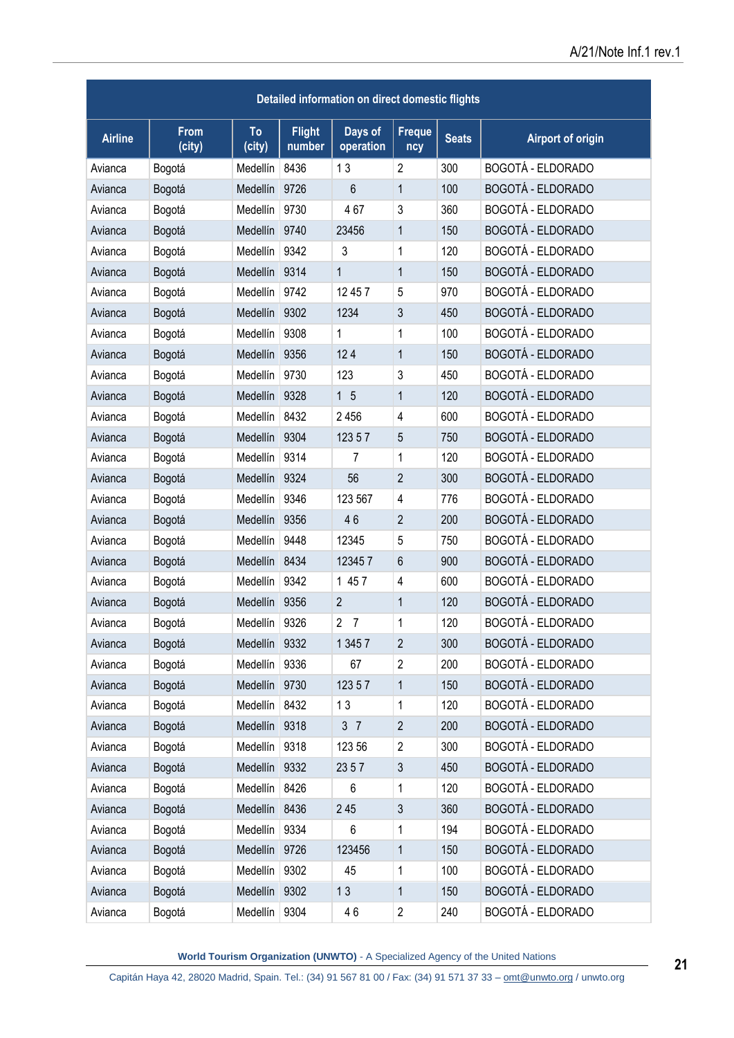| Detailed information on direct domestic flights |                       |               |                         |                                  |                      |              |                          |  |  |
|-------------------------------------------------|-----------------------|---------------|-------------------------|----------------------------------|----------------------|--------------|--------------------------|--|--|
| <b>Airline</b>                                  | <b>From</b><br>(city) | To<br>(city)  | <b>Flight</b><br>number | Days of<br>operation             | <b>Freque</b><br>ncy | <b>Seats</b> | <b>Airport of origin</b> |  |  |
| Avianca                                         | Bogotá                | Medellín      | 8436                    | 13                               | $\overline{2}$       | 300          | <b>BOGOTÁ - ELDORADO</b> |  |  |
| Avianca                                         | Bogotá                | Medellín      | 9726                    | 6                                | $\mathbf{1}$         | 100          | <b>BOGOTÁ - ELDORADO</b> |  |  |
| Avianca                                         | Bogotá                | Medellín      | 9730                    | 467                              | 3                    | 360          | <b>BOGOTÁ - ELDORADO</b> |  |  |
| Avianca                                         | Bogotá                | Medellín      | 9740                    | 23456                            | 1                    | 150          | <b>BOGOTÁ - ELDORADO</b> |  |  |
| Avianca                                         | Bogotá                | Medellín      | 9342                    | 3                                | 1                    | 120          | <b>BOGOTÁ - ELDORADO</b> |  |  |
| Avianca                                         | Bogotá                | Medellín      | 9314                    | $\mathbf{1}$                     | 1                    | 150          | <b>BOGOTÁ - ELDORADO</b> |  |  |
| Avianca                                         | Bogotá                | Medellín      | 9742                    | 12 45 7                          | 5                    | 970          | <b>BOGOTÁ - ELDORADO</b> |  |  |
| Avianca                                         | Bogotá                | Medellín      | 9302                    | 1234                             | 3                    | 450          | <b>BOGOTÁ - ELDORADO</b> |  |  |
| Avianca                                         | Bogotá                | Medellín      | 9308                    | 1                                | 1                    | 100          | <b>BOGOTÁ - ELDORADO</b> |  |  |
| Avianca                                         | Bogotá                | Medellín      | 9356                    | 124                              | $\mathbf{1}$         | 150          | <b>BOGOTÁ - ELDORADO</b> |  |  |
| Avianca                                         | Bogotá                | Medellín      | 9730                    | 123                              | 3                    | 450          | <b>BOGOTÁ - ELDORADO</b> |  |  |
| Avianca                                         | Bogotá                | Medellín      | 9328                    | 1 <sub>5</sub>                   | $\mathbf{1}$         | 120          | <b>BOGOTÁ - ELDORADO</b> |  |  |
| Avianca                                         | Bogotá                | Medellín      | 8432                    | 2 4 5 6                          | 4                    | 600          | BOGOTÁ - ELDORADO        |  |  |
| Avianca                                         | Bogotá                | Medellín      | 9304                    | 12357                            | 5                    | 750          | <b>BOGOTÁ - ELDORADO</b> |  |  |
| Avianca                                         | Bogotá                | Medellín      | 9314                    | 7                                | 1                    | 120          | <b>BOGOTÁ - ELDORADO</b> |  |  |
| Avianca                                         | Bogotá                | Medellín      | 9324                    | 56                               | $\overline{2}$       | 300          | <b>BOGOTÁ - ELDORADO</b> |  |  |
| Avianca                                         | Bogotá                | Medellín      | 9346                    | 123 567                          | 4                    | 776          | <b>BOGOTÁ - ELDORADO</b> |  |  |
| Avianca                                         | Bogotá                | Medellín      | 9356                    | 46                               | $\overline{2}$       | 200          | <b>BOGOTÁ - ELDORADO</b> |  |  |
| Avianca                                         | Bogotá                | Medellín      | 9448                    | 12345                            | 5                    | 750          | <b>BOGOTÁ - ELDORADO</b> |  |  |
| Avianca                                         | Bogotá                | Medellín      | 8434                    | 123457                           | $6\,$                | 900          | <b>BOGOTÁ - ELDORADO</b> |  |  |
| Avianca                                         | Bogotá                | Medellín      | 9342                    | 1 45 7                           | $\overline{4}$       | 600          | <b>BOGOTÁ - ELDORADO</b> |  |  |
| Avianca                                         | Bogotá                | Medellín      | 9356                    | $\overline{2}$                   | $\mathbf{1}$         | 120          | <b>BOGOTÁ - ELDORADO</b> |  |  |
| Avianca                                         | Bogotá                | Medellín      | 9326                    | $\overline{2}$<br>$\overline{7}$ | 1                    | 120          | <b>BOGOTÁ - ELDORADO</b> |  |  |
| Avianca                                         | Bogotá                | Medellín 9332 |                         | 1 345 7                          | $\overline{2}$       | 300          | <b>BOGOTÁ - ELDORADO</b> |  |  |
| Avianca                                         | Bogotá                | Medellín      | 9336                    | 67                               | $\overline{2}$       | 200          | <b>BOGOTÁ - ELDORADO</b> |  |  |
| Avianca                                         | Bogotá                | Medellín      | 9730                    | 12357                            | $\mathbf{1}$         | 150          | <b>BOGOTÁ - ELDORADO</b> |  |  |
| Avianca                                         | Bogotá                | Medellín      | 8432                    | 13                               | 1                    | 120          | <b>BOGOTÁ - ELDORADO</b> |  |  |
| Avianca                                         | Bogotá                | Medellín 9318 |                         | 3 <sub>7</sub>                   | $\overline{2}$       | 200          | <b>BOGOTÁ - ELDORADO</b> |  |  |
| Avianca                                         | Bogotá                | Medellín      | 9318                    | 123 56                           | $\overline{2}$       | 300          | <b>BOGOTÁ - ELDORADO</b> |  |  |
| Avianca                                         | Bogotá                | Medellín 9332 |                         | 2357                             | 3                    | 450          | <b>BOGOTÁ - ELDORADO</b> |  |  |
| Avianca                                         | Bogotá                | Medellín      | 8426                    | 6                                | 1                    | 120          | <b>BOGOTÁ - ELDORADO</b> |  |  |
| Avianca                                         | Bogotá                | Medellín 8436 |                         | 245                              | 3                    | 360          | <b>BOGOTÁ - ELDORADO</b> |  |  |
| Avianca                                         | Bogotá                | Medellín      | 9334                    | 6                                | 1                    | 194          | <b>BOGOTÁ - ELDORADO</b> |  |  |
| Avianca                                         | Bogotá                | Medellín      | 9726                    | 123456                           | $\mathbf{1}$         | 150          | <b>BOGOTÁ - ELDORADO</b> |  |  |
| Avianca                                         | Bogotá                | Medellín      | 9302                    | 45                               | 1                    | 100          | <b>BOGOTÁ - ELDORADO</b> |  |  |
| Avianca                                         | Bogotá                | Medellín      | 9302                    | 13                               | $\mathbf{1}$         | 150          | BOGOTÁ - ELDORADO        |  |  |
| Avianca                                         | Bogotá                | Medellín      | 9304                    | 46                               | $\overline{2}$       | 240          | BOGOTÁ - ELDORADO        |  |  |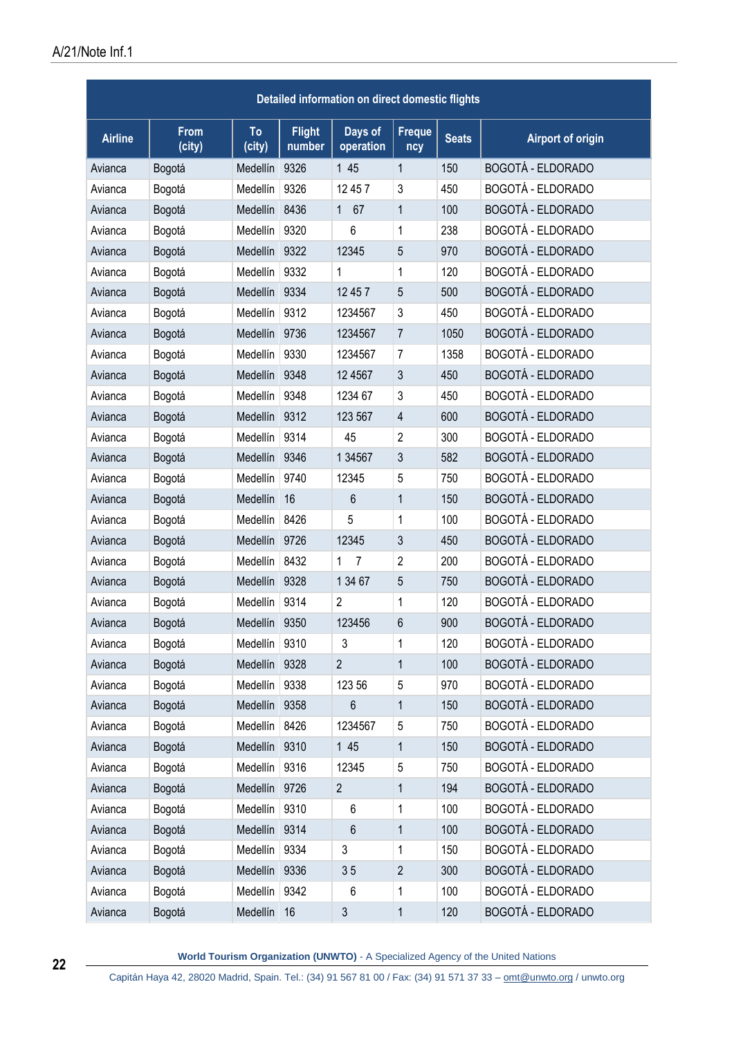| Detailed information on direct domestic flights |                       |              |                         |                      |                      |              |                          |
|-------------------------------------------------|-----------------------|--------------|-------------------------|----------------------|----------------------|--------------|--------------------------|
| <b>Airline</b>                                  | <b>From</b><br>(city) | To<br>(city) | <b>Flight</b><br>number | Days of<br>operation | <b>Freque</b><br>ncy | <b>Seats</b> | <b>Airport of origin</b> |
| Avianca                                         | Bogotá                | Medellín     | 9326                    | 1 45                 | 1                    | 150          | <b>BOGOTÁ - ELDORADO</b> |
| Avianca                                         | Bogotá                | Medellín     | 9326                    | 12 45 7              | 3                    | 450          | <b>BOGOTÁ - ELDORADO</b> |
| Avianca                                         | Bogotá                | Medellín     | 8436                    | $\mathbf{1}$<br>67   | 1                    | 100          | <b>BOGOTÁ - ELDORADO</b> |
| Avianca                                         | Bogotá                | Medellín     | 9320                    | 6                    | 1                    | 238          | <b>BOGOTÁ - ELDORADO</b> |
| Avianca                                         | Bogotá                | Medellín     | 9322                    | 12345                | 5                    | 970          | <b>BOGOTÁ - ELDORADO</b> |
| Avianca                                         | Bogotá                | Medellín     | 9332                    | 1                    | 1                    | 120          | <b>BOGOTÁ - ELDORADO</b> |
| Avianca                                         | Bogotá                | Medellín     | 9334                    | 12 45 7              | 5                    | 500          | <b>BOGOTÁ - ELDORADO</b> |
| Avianca                                         | Bogotá                | Medellín     | 9312                    | 1234567              | 3                    | 450          | <b>BOGOTÁ - ELDORADO</b> |
| Avianca                                         | Bogotá                | Medellín     | 9736                    | 1234567              | 7                    | 1050         | <b>BOGOTÁ - ELDORADO</b> |
| Avianca                                         | Bogotá                | Medellín     | 9330                    | 1234567              | 7                    | 1358         | BOGOTÁ - ELDORADO        |
| Avianca                                         | Bogotá                | Medellín     | 9348                    | 12 4 5 6 7           | 3                    | 450          | <b>BOGOTÁ - ELDORADO</b> |
| Avianca                                         | Bogotá                | Medellín     | 9348                    | 1234 67              | 3                    | 450          | <b>BOGOTÁ - ELDORADO</b> |
| Avianca                                         | Bogotá                | Medellín     | 9312                    | 123 567              | 4                    | 600          | <b>BOGOTÁ - ELDORADO</b> |
| Avianca                                         | Bogotá                | Medellín     | 9314                    | 45                   | 2                    | 300          | <b>BOGOTÁ - ELDORADO</b> |
| Avianca                                         | Bogotá                | Medellín     | 9346                    | 1 34567              | 3                    | 582          | <b>BOGOTÁ - ELDORADO</b> |
| Avianca                                         | Bogotá                | Medellín     | 9740                    | 12345                | 5                    | 750          | <b>BOGOTÁ - ELDORADO</b> |
| Avianca                                         | Bogotá                | Medellín     | 16                      | 6                    | 1                    | 150          | <b>BOGOTÁ - ELDORADO</b> |
| Avianca                                         | Bogotá                | Medellín     | 8426                    | 5                    | 1                    | 100          | <b>BOGOTÁ - ELDORADO</b> |
| Avianca                                         | Bogotá                | Medellín     | 9726                    | 12345                | 3                    | 450          | <b>BOGOTÁ - ELDORADO</b> |
| Avianca                                         | Bogotá                | Medellín     | 8432                    | 7<br>1               | $\overline{c}$       | 200          | <b>BOGOTÁ - ELDORADO</b> |
| Avianca                                         | Bogotá                | Medellín     | 9328                    | 1 34 67              | 5                    | 750          | <b>BOGOTÁ - ELDORADO</b> |
| Avianca                                         | Bogotá                | Medellín     | 9314                    | $\overline{2}$       | 1                    | 120          | <b>BOGOTÁ - ELDORADO</b> |
| Avianca                                         | Bogotá                | Medellín     | 9350                    | 123456               | 6                    | 900          | <b>BOGOTÁ - ELDORADO</b> |
| Avianca                                         | Bogotá                | Medellín     | 9310                    | 3                    | 1                    | 120          | BOGOTÁ - ELDORADO        |
| Avianca                                         | Bogotá                | Medellín     | 9328                    | $\overline{2}$       | $\mathbf 1$          | 100          | <b>BOGOTÁ - ELDORADO</b> |
| Avianca                                         | Bogotá                | Medellín     | 9338                    | 123 56               | 5                    | 970          | <b>BOGOTÁ - ELDORADO</b> |
| Avianca                                         | Bogotá                | Medellín     | 9358                    | 6                    | 1                    | 150          | <b>BOGOTÁ - ELDORADO</b> |
| Avianca                                         | Bogotá                | Medellín     | 8426                    | 1234567              | 5                    | 750          | <b>BOGOTÁ - ELDORADO</b> |
| Avianca                                         | Bogotá                | Medellín     | 9310                    | 1 45                 | 1                    | 150          | BOGOTÁ - ELDORADO        |
| Avianca                                         | Bogotá                | Medellín     | 9316                    | 12345                | 5                    | 750          | <b>BOGOTÁ - ELDORADO</b> |
| Avianca                                         | Bogotá                | Medellín     | 9726                    | $\overline{2}$       | 1                    | 194          | BOGOTÁ - ELDORADO        |
| Avianca                                         | Bogotá                | Medellín     | 9310                    | 6                    | 1                    | 100          | BOGOTÁ - ELDORADO        |
| Avianca                                         | Bogotá                | Medellín     | 9314                    | 6                    | 1                    | 100          | <b>BOGOTÁ - ELDORADO</b> |
| Avianca                                         | Bogotá                | Medellín     | 9334                    | 3                    | 1                    | 150          | BOGOTÁ - ELDORADO        |
| Avianca                                         | Bogotá                | Medellín     | 9336                    | 35                   | $\overline{2}$       | 300          | BOGOTÁ - ELDORADO        |
| Avianca                                         | Bogotá                | Medellín     | 9342                    | 6                    | 1                    | 100          | BOGOTÁ - ELDORADO        |
| Avianca                                         | Bogotá                | Medellín     | 16                      | $\sqrt{3}$           | 1                    | 120          | BOGOTÁ - ELDORADO        |

Capitán Haya 42, 28020 Madrid, Spain. Tel.: (34) 91 567 81 00 / Fax: (34) 91 571 37 33 - [omt@unwto.org](mailto:omt@unwto.org) / unwto.org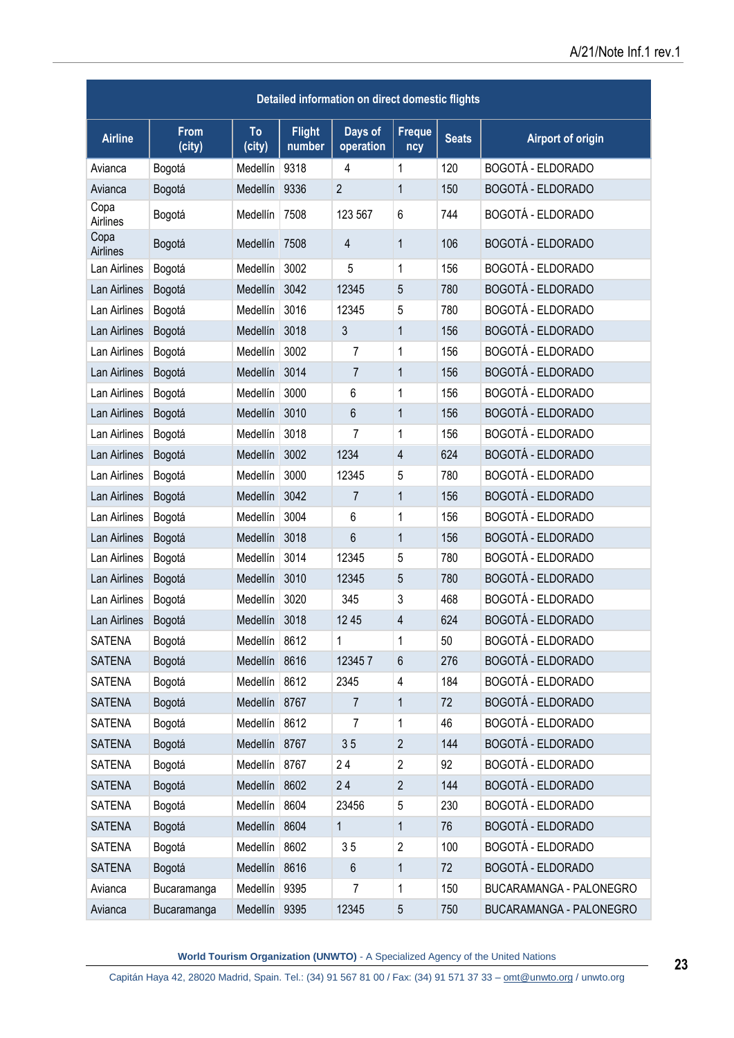| Detailed information on direct domestic flights |                |               |                         |                      |                |              |                          |
|-------------------------------------------------|----------------|---------------|-------------------------|----------------------|----------------|--------------|--------------------------|
| <b>Airline</b>                                  | From<br>(city) | To<br>(city)  | <b>Flight</b><br>number | Days of<br>operation | Freque<br>ncy  | <b>Seats</b> | <b>Airport of origin</b> |
| Avianca                                         | Bogotá         | Medellín      | 9318                    | 4                    | 1              | 120          | <b>BOGOTÁ - ELDORADO</b> |
| Avianca                                         | Bogotá         | Medellín      | 9336                    | $\overline{2}$       | 1              | 150          | <b>BOGOTÁ - ELDORADO</b> |
| Copa<br>Airlines                                | Bogotá         | Medellín      | 7508                    | 123 567              | 6              | 744          | <b>BOGOTÁ - ELDORADO</b> |
| Copa<br><b>Airlines</b>                         | Bogotá         | Medellín      | 7508                    | 4                    | 1              | 106          | <b>BOGOTÁ - ELDORADO</b> |
| Lan Airlines                                    | Bogotá         | Medellín      | 3002                    | 5                    | 1              | 156          | BOGOTÁ - ELDORADO        |
| Lan Airlines                                    | Bogotá         | Medellín      | 3042                    | 12345                | 5              | 780          | <b>BOGOTÁ - ELDORADO</b> |
| Lan Airlines                                    | Bogotá         | Medellín      | 3016                    | 12345                | 5              | 780          | <b>BOGOTÁ - ELDORADO</b> |
| Lan Airlines                                    | Bogotá         | Medellín      | 3018                    | 3                    | 1              | 156          | <b>BOGOTÁ - ELDORADO</b> |
| Lan Airlines                                    | Bogotá         | Medellín      | 3002                    | 7                    | 1              | 156          | BOGOTÁ - ELDORADO        |
| Lan Airlines                                    | Bogotá         | Medellín      | 3014                    | 7                    | $\mathbf{1}$   | 156          | <b>BOGOTÁ - ELDORADO</b> |
| Lan Airlines                                    | Bogotá         | Medellín      | 3000                    | 6                    | 1              | 156          | <b>BOGOTÁ - ELDORADO</b> |
| Lan Airlines                                    | Bogotá         | Medellín      | 3010                    | 6                    | 1              | 156          | <b>BOGOTÁ - ELDORADO</b> |
| Lan Airlines                                    | Bogotá         | Medellín      | 3018                    | 7                    | 1              | 156          | <b>BOGOTÁ - ELDORADO</b> |
| Lan Airlines                                    | Bogotá         | Medellín      | 3002                    | 1234                 | $\overline{4}$ | 624          | <b>BOGOTÁ - ELDORADO</b> |
| Lan Airlines                                    | Bogotá         | Medellín      | 3000                    | 12345                | 5              | 780          | <b>BOGOTÁ - ELDORADO</b> |
| Lan Airlines                                    | Bogotá         | Medellín      | 3042                    | $\overline{7}$       | 1              | 156          | <b>BOGOTÁ - ELDORADO</b> |
| Lan Airlines                                    | Bogotá         | Medellín      | 3004                    | 6                    | 1              | 156          | <b>BOGOTÁ - ELDORADO</b> |
| Lan Airlines                                    | Bogotá         | Medellín      | 3018                    | 6                    | 1              | 156          | <b>BOGOTÁ - ELDORADO</b> |
| Lan Airlines                                    | Bogotá         | Medellín      | 3014                    | 12345                | 5              | 780          | <b>BOGOTÁ - ELDORADO</b> |
| Lan Airlines                                    | Bogotá         | Medellín      | 3010                    | 12345                | 5              | 780          | <b>BOGOTÁ - ELDORADO</b> |
| Lan Airlines                                    | Bogotá         | Medellín      | 3020                    | 345                  | 3              | 468          | <b>BOGOTÁ - ELDORADO</b> |
| Lan Airlines                                    | Bogotá         | Medellín 3018 |                         | 12 45                | 4              | 624          | <b>BOGOTÁ - ELDORADO</b> |
| <b>SATENA</b>                                   | Bogotá         | Medellín 8612 |                         | $\mathbf 1$          | 1              | 50           | BOGOTÁ - ELDORADO        |
| <b>SATENA</b>                                   | Bogotá         | Medellín      | 8616                    | 123457               | 6              | 276          | <b>BOGOTÁ - ELDORADO</b> |
| SATENA                                          | Bogotá         | Medellín      | 8612                    | 2345                 | 4              | 184          | <b>BOGOTÁ - ELDORADO</b> |
| <b>SATENA</b>                                   | Bogotá         | Medellín      | 8767                    | $\overline{7}$       | $\mathbf{1}$   | 72           | <b>BOGOTÁ - ELDORADO</b> |
| <b>SATENA</b>                                   | Bogotá         | Medellín      | 8612                    | 7                    | 1              | 46           | <b>BOGOTÁ - ELDORADO</b> |
| <b>SATENA</b>                                   | Bogotá         | Medellín      | 8767                    | 35                   | $\sqrt{2}$     | 144          | BOGOTÁ - ELDORADO        |
| SATENA                                          | Bogotá         | Medellín      | 8767                    | 24                   | $\overline{2}$ | 92           | <b>BOGOTÁ - ELDORADO</b> |
| <b>SATENA</b>                                   | Bogotá         | Medellín      | 8602                    | 24                   | $\overline{2}$ | 144          | <b>BOGOTÁ - ELDORADO</b> |
| <b>SATENA</b>                                   | Bogotá         | Medellín      | 8604                    | 23456                | 5              | 230          | <b>BOGOTÁ - ELDORADO</b> |
| <b>SATENA</b>                                   | Bogotá         | Medellín      | 8604                    | 1                    | 1              | 76           | <b>BOGOTÁ - ELDORADO</b> |
| <b>SATENA</b>                                   | Bogotá         | Medellín      | 8602                    | $3\,5$               | $\overline{2}$ | 100          | <b>BOGOTÁ - ELDORADO</b> |
| <b>SATENA</b>                                   | Bogotá         | Medellín 8616 |                         | 6                    | $\mathbf{1}$   | 72           | <b>BOGOTÁ - ELDORADO</b> |
| Avianca                                         | Bucaramanga    | Medellín      | 9395                    | $\overline{7}$       | 1              | 150          | BUCARAMANGA - PALONEGRO  |
| Avianca                                         | Bucaramanga    | Medellín      | 9395                    | 12345                | $\sqrt{5}$     | 750          | BUCARAMANGA - PALONEGRO  |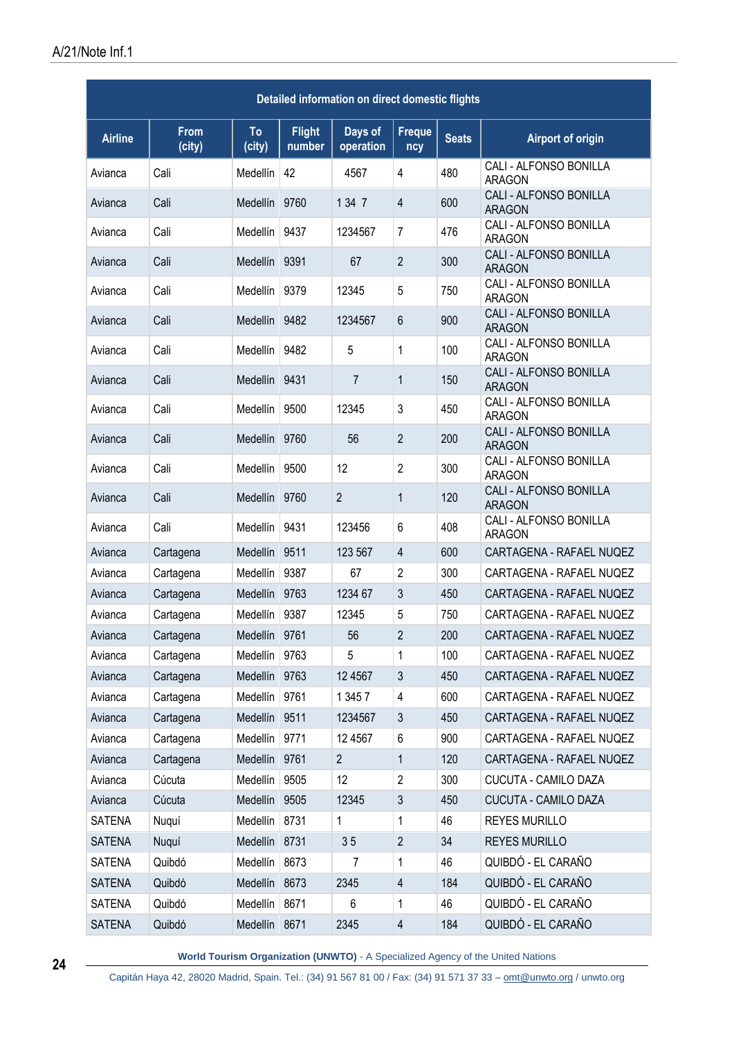| Detailed information on direct domestic flights |                       |                 |                         |                      |                |              |                                         |
|-------------------------------------------------|-----------------------|-----------------|-------------------------|----------------------|----------------|--------------|-----------------------------------------|
| <b>Airline</b>                                  | <b>From</b><br>(city) | To<br>(city)    | <b>Flight</b><br>number | Days of<br>operation | Freque<br>ncy  | <b>Seats</b> | <b>Airport of origin</b>                |
| Avianca                                         | Cali                  | Medellín        | 42                      | 4567                 | $\overline{4}$ | 480          | CALI - ALFONSO BONILLA<br><b>ARAGON</b> |
| Avianca                                         | Cali                  | Medellín        | 9760                    | 1 34 7               | $\overline{4}$ | 600          | CALI - ALFONSO BONILLA<br><b>ARAGON</b> |
| Avianca                                         | Cali                  | Medellín        | 9437                    | 1234567              | $\overline{7}$ | 476          | CALI - ALFONSO BONILLA<br><b>ARAGON</b> |
| Avianca                                         | Cali                  | Medellín        | 9391                    | 67                   | $\overline{2}$ | 300          | CALI - ALFONSO BONILLA<br><b>ARAGON</b> |
| Avianca                                         | Cali                  | Medellín        | 9379                    | 12345                | 5              | 750          | CALI - ALFONSO BONILLA<br><b>ARAGON</b> |
| Avianca                                         | Cali                  | Medellín        | 9482                    | 1234567              | $6\phantom{1}$ | 900          | CALI - ALFONSO BONILLA<br><b>ARAGON</b> |
| Avianca                                         | Cali                  | Medellín        | 9482                    | 5                    | $\mathbf{1}$   | 100          | CALI - ALFONSO BONILLA<br><b>ARAGON</b> |
| Avianca                                         | Cali                  | Medellín        | 9431                    | $\overline{7}$       | $\mathbf{1}$   | 150          | CALI - ALFONSO BONILLA<br><b>ARAGON</b> |
| Avianca                                         | Cali                  | Medellín        | 9500                    | 12345                | 3              | 450          | CALI - ALFONSO BONILLA<br><b>ARAGON</b> |
| Avianca                                         | Cali                  | Medellín        | 9760                    | 56                   | $\overline{2}$ | 200          | CALI - ALFONSO BONILLA<br><b>ARAGON</b> |
| Avianca                                         | Cali                  | Medellín        | 9500                    | 12                   | $\overline{2}$ | 300          | CALI - ALFONSO BONILLA<br><b>ARAGON</b> |
| Avianca                                         | Cali                  | Medellín        | 9760                    | $\overline{2}$       | $\mathbf{1}$   | 120          | CALI - ALFONSO BONILLA<br><b>ARAGON</b> |
| Avianca                                         | Cali                  | Medellín        | 9431                    | 123456               | 6              | 408          | CALI - ALFONSO BONILLA<br><b>ARAGON</b> |
| Avianca                                         | Cartagena             | Medellín        | 9511                    | 123 567              | $\overline{4}$ | 600          | CARTAGENA - RAFAEL NUQEZ                |
| Avianca                                         | Cartagena             | Medellín        | 9387                    | 67                   | $\overline{2}$ | 300          | CARTAGENA - RAFAEL NUQEZ                |
| Avianca                                         | Cartagena             | Medellín        | 9763                    | 1234 67              | 3              | 450          | CARTAGENA - RAFAEL NUQEZ                |
| Avianca                                         | Cartagena             | Medellín   9387 |                         | 12345                | 5              | 750          | CARTAGENA - RAFAEL NUQEZ                |
| Avianca                                         | Cartagena             | Medellín 9761   |                         | 56                   | $\overline{2}$ | 200          | CARTAGENA - RAFAEL NUQEZ                |
| Avianca                                         | Cartagena             | Medellín        | 9763                    | 5                    | 1              | 100          | CARTAGENA - RAFAEL NUQEZ                |
| Avianca                                         | Cartagena             | Medellín        | 9763                    | 12 4 5 6 7           | 3              | 450          | CARTAGENA - RAFAEL NUQEZ                |
| Avianca                                         | Cartagena             | Medellín        | 9761                    | 1 3 4 5 7            | 4              | 600          | CARTAGENA - RAFAEL NUQEZ                |
| Avianca                                         | Cartagena             | Medellín        | 9511                    | 1234567              | 3              | 450          | CARTAGENA - RAFAEL NUQEZ                |
| Avianca                                         | Cartagena             | Medellín        | 9771                    | 12 4 5 6 7           | 6              | 900          | CARTAGENA - RAFAEL NUQEZ                |
| Avianca                                         | Cartagena             | Medellín        | 9761                    | $\overline{2}$       | $\mathbf{1}$   | 120          | CARTAGENA - RAFAEL NUQEZ                |
| Avianca                                         | Cúcuta                | Medellín        | 9505                    | 12                   | 2              | 300          | CUCUTA - CAMILO DAZA                    |
| Avianca                                         | Cúcuta                | Medellín        | 9505                    | 12345                | 3              | 450          | CUCUTA - CAMILO DAZA                    |
| SATENA                                          | Nuquí                 | Medellín        | 8731                    | 1                    | 1              | 46           | <b>REYES MURILLO</b>                    |
| <b>SATENA</b>                                   | Nuquí                 | Medellín        | 8731                    | 35                   | $\overline{2}$ | 34           | <b>REYES MURILLO</b>                    |
| SATENA                                          | Quibdó                | Medellín        | 8673                    | 7                    | $\mathbf 1$    | 46           | QUIBDÓ - EL CARAÑO                      |
| <b>SATENA</b>                                   | Quibdó                | Medellín        | 8673                    | 2345                 | $\overline{4}$ | 184          | QUIBDÓ - EL CARAÑO                      |
| <b>SATENA</b>                                   | Quibdó                | Medellín        | 8671                    | 6                    | $\mathbf 1$    | 46           | QUIBDÓ - EL CARAÑO                      |
| <b>SATENA</b>                                   | Quibdó                | Medellín 8671   |                         | 2345                 | $\overline{4}$ | 184          | QUIBDÓ - EL CARAÑO                      |

**24**

**World Tourism Organization (UNWTO)** - A Specialized Agency of the United Nations

Capitán Haya 42, 28020 Madrid, Spain. Tel.: (34) 91 567 81 00 / Fax: (34) 91 571 37 33 - [omt@unwto.org](mailto:omt@unwto.org) / unwto.org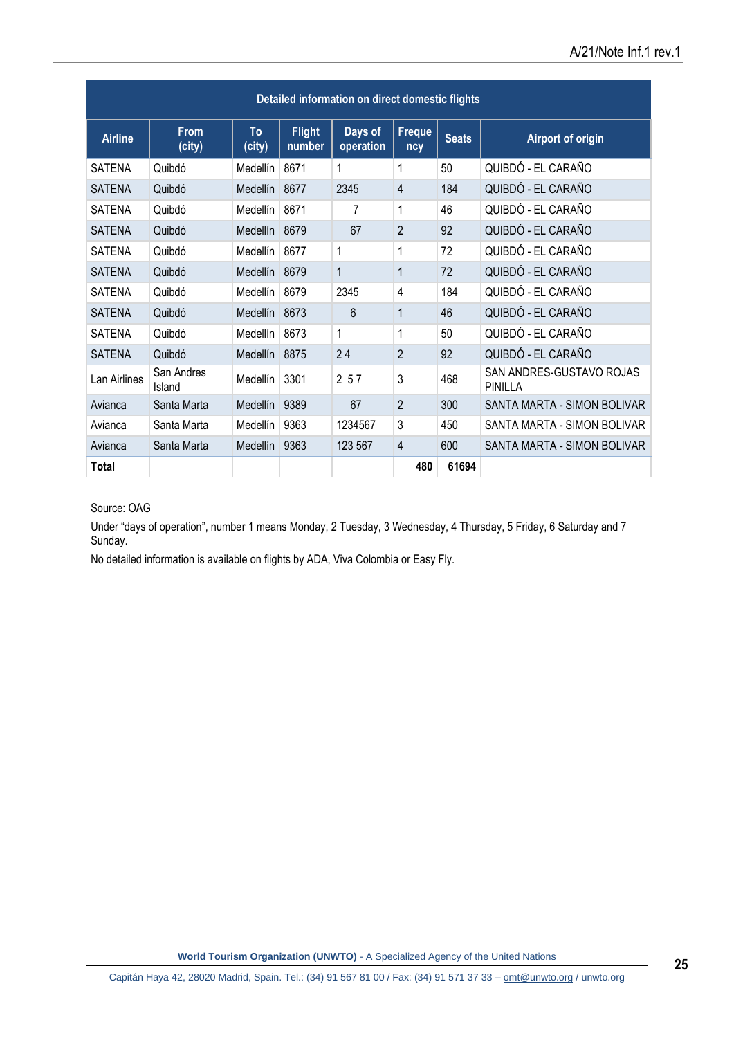| Detailed information on direct domestic flights |                       |              |                         |                      |                |              |                                            |
|-------------------------------------------------|-----------------------|--------------|-------------------------|----------------------|----------------|--------------|--------------------------------------------|
| <b>Airline</b>                                  | <b>From</b><br>(city) | To<br>(city) | <b>Flight</b><br>number | Days of<br>operation | Freque<br>ncy  | <b>Seats</b> | <b>Airport of origin</b>                   |
| <b>SATENA</b>                                   | Quibdó                | Medellín     | 8671                    | 1                    | 1              | 50           | QUIBDÓ - EL CARAÑO                         |
| <b>SATENA</b>                                   | Quibdó                | Medellín     | 8677                    | 2345                 | 4              | 184          | QUIBDÓ - EL CARAÑO                         |
| <b>SATENA</b>                                   | Quibdó                | Medellín     | 8671                    | 7                    | 1              | 46           | QUIBDÓ - EL CARAÑO                         |
| <b>SATENA</b>                                   | Quibdó                | Medellín     | 8679                    | 67                   | $\overline{2}$ | 92           | QUIBDÓ - EL CARAÑO                         |
| <b>SATENA</b>                                   | Quibdó                | Medellín     | 8677                    | 1                    | 1              | 72           | QUIBDÓ - EL CARAÑO                         |
| <b>SATENA</b>                                   | Quibdó                | Medellín     | 8679                    | $\mathbf{1}$         | 1              | 72           | QUIBDÓ - EL CARAÑO                         |
| <b>SATENA</b>                                   | Quibdó                | Medellín     | 8679                    | 2345                 | 4              | 184          | QUIBDÓ - EL CARAÑO                         |
| <b>SATENA</b>                                   | Quibdó                | Medellín     | 8673                    | 6                    | 1              | 46           | QUIBDÓ - EL CARAÑO                         |
| <b>SATENA</b>                                   | Quibdó                | Medellín     | 8673                    | 1                    | 1              | 50           | QUIBDÓ - EL CARAÑO                         |
| <b>SATENA</b>                                   | Quibdó                | Medellín     | 8875                    | 24                   | $\overline{2}$ | 92           | QUIBDÓ - EL CARAÑO                         |
| Lan Airlines                                    | San Andres<br>Island  | Medellín     | 3301                    | 2 5 7                | 3              | 468          | SAN ANDRES-GUSTAVO ROJAS<br><b>PINILLA</b> |
| Avianca                                         | Santa Marta           | Medellín     | 9389                    | 67                   | $\overline{2}$ | 300          | SANTA MARTA - SIMON BOLIVAR                |
| Avianca                                         | Santa Marta           | Medellín     | 9363                    | 1234567              | 3              | 450          | SANTA MARTA - SIMON BOLIVAR                |
| Avianca                                         | Santa Marta           | Medellín     | 9363                    | 123 567              | 4              | 600          | SANTA MARTA - SIMON BOLIVAR                |
| Total                                           |                       |              |                         |                      | 480            | 61694        |                                            |

Source: OAG

Under "days of operation", number 1 means Monday, 2 Tuesday, 3 Wednesday, 4 Thursday, 5 Friday, 6 Saturday and 7 Sunday.

No detailed information is available on flights by ADA, Viva Colombia or Easy Fly.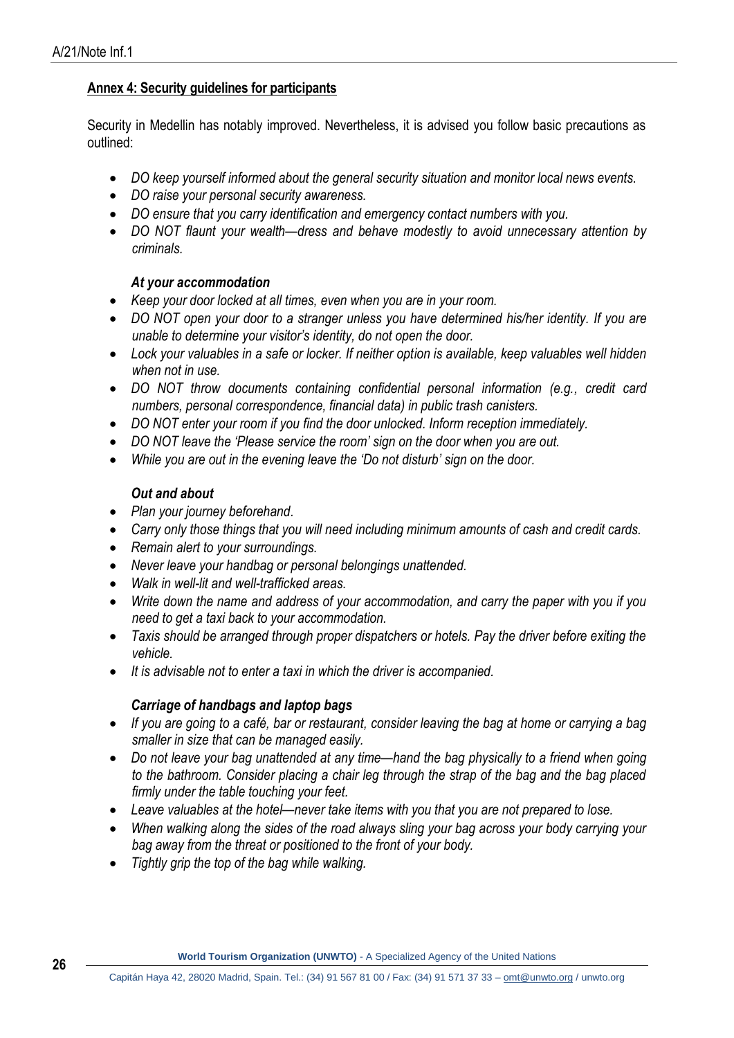## <span id="page-25-0"></span>**Annex 4: Security guidelines for participants**

Security in Medellin has notably improved. Nevertheless, it is advised you follow basic precautions as outlined:

- *DO keep yourself informed about the general security situation and monitor local news events.*
- *DO raise your personal security awareness.*
- *DO ensure that you carry identification and emergency contact numbers with you.*
- *DO NOT flaunt your wealth—dress and behave modestly to avoid unnecessary attention by criminals.*

## *At your accommodation*

- *Keep your door locked at all times, even when you are in your room.*
- DO NOT open your door to a stranger unless you have determined his/her identity. If you are *unable to determine your visitor's identity, do not open the door.*
- *Lock your valuables in a safe or locker. If neither option is available, keep valuables well hidden when not in use.*
- *DO NOT throw documents containing confidential personal information (e.g., credit card numbers, personal correspondence, financial data) in public trash canisters.*
- *DO NOT enter your room if you find the door unlocked. Inform reception immediately.*
- *DO NOT leave the 'Please service the room' sign on the door when you are out.*
- *While you are out in the evening leave the 'Do not disturb' sign on the door.*

## *Out and about*

- *Plan your journey beforehand.*
- *Carry only those things that you will need including minimum amounts of cash and credit cards.*
- *Remain alert to your surroundings.*
- *Never leave your handbag or personal belongings unattended.*
- *Walk in well-lit and well-trafficked areas.*
- *Write down the name and address of your accommodation, and carry the paper with you if you need to get a taxi back to your accommodation.*
- *Taxis should be arranged through proper dispatchers or hotels. Pay the driver before exiting the vehicle.*
- *It is advisable not to enter a taxi in which the driver is accompanied.*

## *Carriage of handbags and laptop bags*

- *If you are going to a café, bar or restaurant, consider leaving the bag at home or carrying a bag smaller in size that can be managed easily.*
- *Do not leave your bag unattended at any time—hand the bag physically to a friend when going to the bathroom. Consider placing a chair leg through the strap of the bag and the bag placed firmly under the table touching your feet.*
- *Leave valuables at the hotel—never take items with you that you are not prepared to lose.*
- *When walking along the sides of the road always sling your bag across your body carrying your bag away from the threat or positioned to the front of your body.*
- *Tightly grip the top of the bag while walking.*